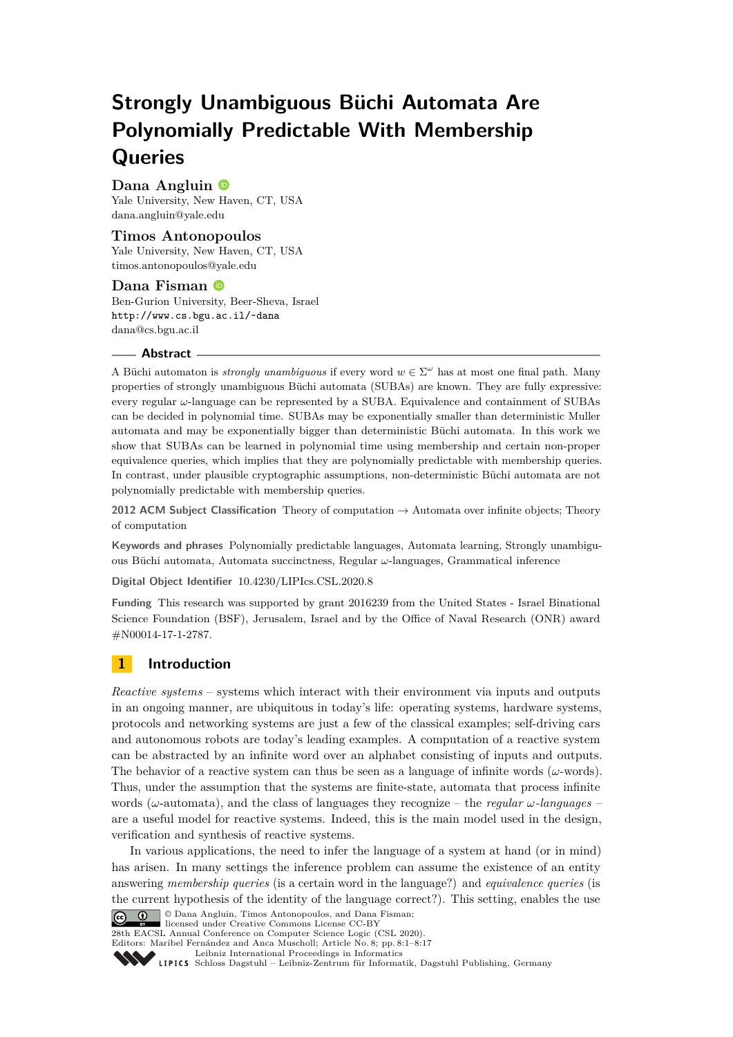# **Strongly Unambiguous Büchi Automata Are Polynomially Predictable With Membership Queries**

# **Dana Angluin**

Yale University, New Haven, CT, USA [dana.angluin@yale.edu](mailto:dana.angluin@yale.edu)

### **Timos Antonopoulos**

Yale University, New Haven, CT, USA [timos.antonopoulos@yale.edu](mailto:timos.antonopoulos@yale.edu)

### **Dana Fisman**

Ben-Gurion University, Beer-Sheva, Israel <http://www.cs.bgu.ac.il/~dana> [dana@cs.bgu.ac.il](mailto:dana@cs.bgu.ac.il)

### **Abstract**

A Büchi automaton is *strongly unambiguous* if every word  $w \in \Sigma^{\omega}$  has at most one final path. Many properties of strongly unambiguous Büchi automata (SUBAs) are known. They are fully expressive: every regular *ω*-language can be represented by a SUBA. Equivalence and containment of SUBAs can be decided in polynomial time. SUBAs may be exponentially smaller than deterministic Muller automata and may be exponentially bigger than deterministic Büchi automata. In this work we show that SUBAs can be learned in polynomial time using membership and certain non-proper equivalence queries, which implies that they are polynomially predictable with membership queries. In contrast, under plausible cryptographic assumptions, non-deterministic Büchi automata are not polynomially predictable with membership queries.

**2012 ACM Subject Classification** Theory of computation → Automata over infinite objects; Theory of computation

**Keywords and phrases** Polynomially predictable languages, Automata learning, Strongly unambiguous Büchi automata, Automata succinctness, Regular *ω*-languages, Grammatical inference

**Digital Object Identifier** [10.4230/LIPIcs.CSL.2020.8](https://doi.org/10.4230/LIPIcs.CSL.2020.8)

**Funding** This research was supported by grant 2016239 from the United States - Israel Binational Science Foundation (BSF), Jerusalem, Israel and by the Office of Naval Research (ONR) award #N00014-17-1-2787.

# **1 Introduction**

*Reactive systems* – systems which interact with their environment via inputs and outputs in an ongoing manner, are ubiquitous in today's life: operating systems, hardware systems, protocols and networking systems are just a few of the classical examples; self-driving cars and autonomous robots are today's leading examples. A computation of a reactive system can be abstracted by an infinite word over an alphabet consisting of inputs and outputs. The behavior of a reactive system can thus be seen as a language of infinite words (*ω*-words). Thus, under the assumption that the systems are finite-state, automata that process infinite words (*ω*-automata), and the class of languages they recognize – the *regular ω-languages* – are a useful model for reactive systems. Indeed, this is the main model used in the design, verification and synthesis of reactive systems.

In various applications, the need to infer the language of a system at hand (or in mind) has arisen. In many settings the inference problem can assume the existence of an entity answering *membership queries* (is a certain word in the language?) and *equivalence queries* (is the current hypothesis of the identity of the language correct?). This setting, enables the use © Dana Angluin, Timos Antonopoulos, and Dana Fisman;



licensed under Creative Commons License CC-BY

28th EACSL Annual Conference on Computer Science Logic (CSL 2020).

Editors: Maribel Fernández and Anca Muscholl; Article No. 8; pp. 8:1–8[:17](#page-16-0)

[Leibniz International Proceedings in Informatics](https://www.dagstuhl.de/lipics/)

Leibniz international riveredings in miximetrix<br>
LIPICS [Schloss Dagstuhl – Leibniz-Zentrum für Informatik, Dagstuhl Publishing, Germany](https://www.dagstuhl.de)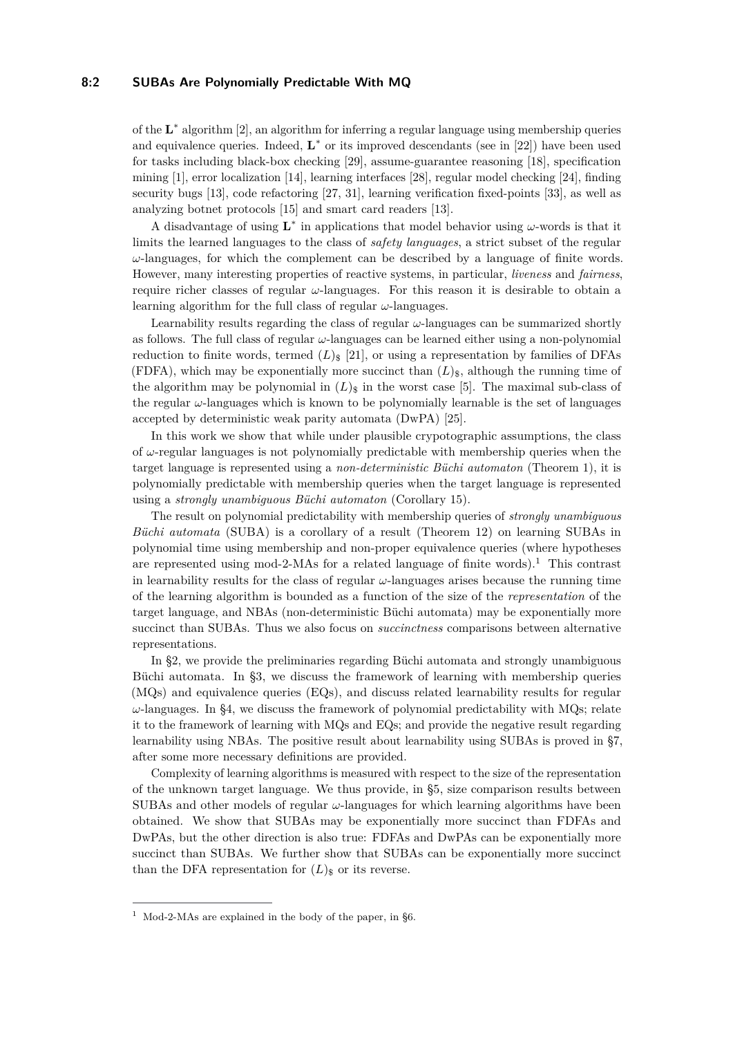### **8:2 SUBAs Are Polynomially Predictable With MQ**

of the  $\mathbf{L}^*$  algorithm [\[2\]](#page-15-0), an algorithm for inferring a regular language using membership queries and equivalence queries. Indeed,  $\mathbf{L}^*$  or its improved descendants (see in [\[22\]](#page-16-1)) have been used for tasks including black-box checking [\[29\]](#page-16-2), assume-guarantee reasoning [\[18\]](#page-16-3), specification mining [\[1\]](#page-15-1), error localization [\[14\]](#page-15-2), learning interfaces [\[28\]](#page-16-4), regular model checking [\[24\]](#page-16-5), finding security bugs [\[13\]](#page-15-3), code refactoring [\[27,](#page-16-6) [31\]](#page-16-7), learning verification fixed-points [\[33\]](#page-16-8), as well as analyzing botnet protocols [\[15\]](#page-15-4) and smart card readers [\[13\]](#page-15-3).

A disadvantage of using  $\mathbf{L}^*$  in applications that model behavior using  $\omega$ -words is that it limits the learned languages to the class of *safety languages*, a strict subset of the regular *ω*-languages, for which the complement can be described by a language of finite words. However, many interesting properties of reactive systems, in particular, *liveness* and *fairness*, require richer classes of regular *ω*-languages. For this reason it is desirable to obtain a learning algorithm for the full class of regular *ω*-languages.

Learnability results regarding the class of regular *ω*-languages can be summarized shortly as follows. The full class of regular *ω*-languages can be learned either using a non-polynomial reduction to finite words, termed  $(L)_{\$}$  [\[21\]](#page-16-9), or using a representation by families of DFAs (FDFA), which may be exponentially more succinct than  $(L)_{\rm s}$ , although the running time of the algorithm may be polynomial in  $(L)_{\$}$  in the worst case [\[5\]](#page-15-5). The maximal sub-class of the regular *ω*-languages which is known to be polynomially learnable is the set of languages accepted by deterministic weak parity automata (DwPA) [\[25\]](#page-16-10).

In this work we show that while under plausible crypotographic assumptions, the class of  $\omega$ -regular languages is not polynomially predictable with membership queries when the target language is represented using a *non-deterministic Büchi automaton* (Theorem [1\)](#page-6-0), it is polynomially predictable with membership queries when the target language is represented using a *strongly unambiguous Büchi automaton* (Corollary [15\)](#page-14-0).

The result on polynomial predictability with membership queries of *strongly unambiguous Büchi automata* (SUBA) is a corollary of a result (Theorem [12\)](#page-13-0) on learning SUBAs in polynomial time using membership and non-proper equivalence queries (where hypotheses are represented using mod-2-MAs for a related language of finite words).<sup>[1](#page-1-0)</sup> This contrast in learnability results for the class of regular *ω*-languages arises because the running time of the learning algorithm is bounded as a function of the size of the *representation* of the target language, and NBAs (non-deterministic Büchi automata) may be exponentially more succinct than SUBAs. Thus we also focus on *succinctness* comparisons between alternative representations.

In [§2,](#page-2-0) we provide the preliminaries regarding Büchi automata and strongly unambiguous Büchi automata. In [§3,](#page-3-0) we discuss the framework of learning with membership queries (MQs) and equivalence queries (EQs), and discuss related learnability results for regular *ω*-languages. In [§4,](#page-5-0) we discuss the framework of polynomial predictability with MQs; relate it to the framework of learning with MQs and EQs; and provide the negative result regarding learnability using NBAs. The positive result about learnability using SUBAs is proved in [§7,](#page-13-1) after some more necessary definitions are provided.

Complexity of learning algorithms is measured with respect to the size of the representation of the unknown target language. We thus provide, in [§5,](#page-7-0) size comparison results between SUBAs and other models of regular  $\omega$ -languages for which learning algorithms have been obtained. We show that SUBAs may be exponentially more succinct than FDFAs and DwPAs, but the other direction is also true: FDFAs and DwPAs can be exponentially more succinct than SUBAs. We further show that SUBAs can be exponentially more succinct than the DFA representation for  $(L)_{\$}$  or its reverse.

<span id="page-1-0"></span><sup>&</sup>lt;sup>1</sup> Mod-2-MAs are explained in the body of the paper, in [§6.](#page-9-0)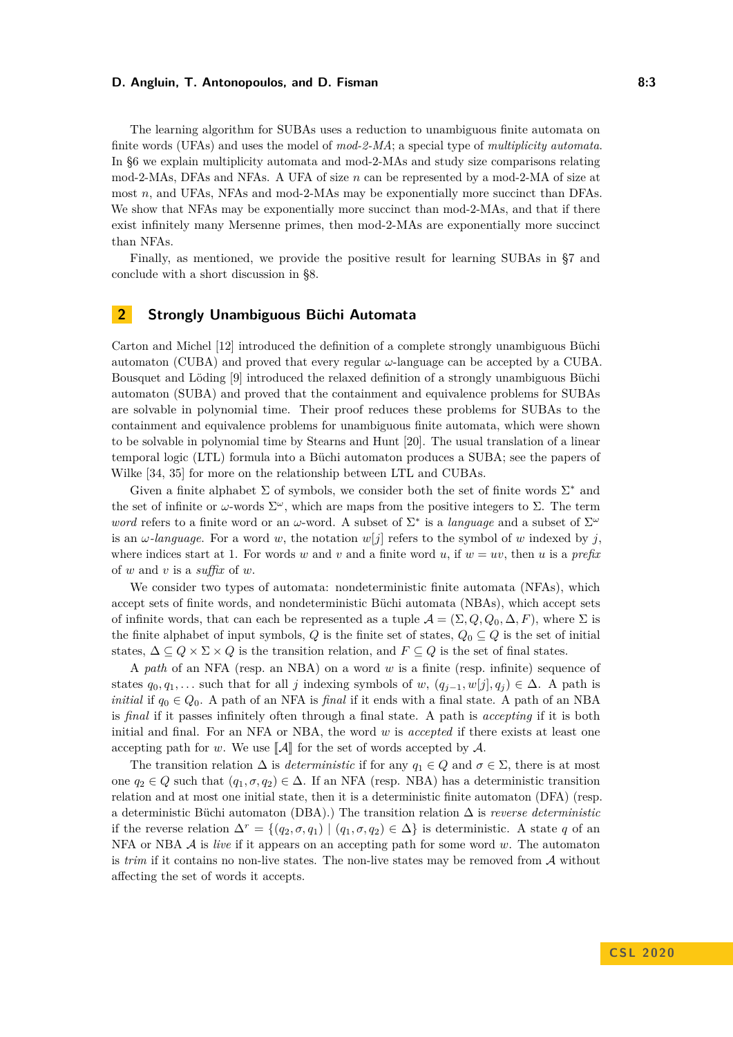### **D. Angluin, T. Antonopoulos, and D. Fisman 8:3**

The learning algorithm for SUBAs uses a reduction to unambiguous finite automata on finite words (UFAs) and uses the model of *mod-2-MA*; a special type of *multiplicity automata*. In [§6](#page-9-0) we explain multiplicity automata and mod-2-MAs and study size comparisons relating mod-2-MAs, DFAs and NFAs. A UFA of size *n* can be represented by a mod-2-MA of size at most *n*, and UFAs, NFAs and mod-2-MAs may be exponentially more succinct than DFAs. We show that NFAs may be exponentially more succinct than mod-2-MAs, and that if there exist infinitely many Mersenne primes, then mod-2-MAs are exponentially more succinct than NFAs.

Finally, as mentioned, we provide the positive result for learning SUBAs in [§7](#page-13-1) and conclude with a short discussion in [§8.](#page-14-1)

# <span id="page-2-0"></span>**2 Strongly Unambiguous Büchi Automata**

Carton and Michel [\[12\]](#page-15-6) introduced the definition of a complete strongly unambiguous Büchi automaton (CUBA) and proved that every regular *ω*-language can be accepted by a CUBA. Bousquet and Löding [\[9\]](#page-15-7) introduced the relaxed definition of a strongly unambiguous Büchi automaton (SUBA) and proved that the containment and equivalence problems for SUBAs are solvable in polynomial time. Their proof reduces these problems for SUBAs to the containment and equivalence problems for unambiguous finite automata, which were shown to be solvable in polynomial time by Stearns and Hunt [\[20\]](#page-16-11). The usual translation of a linear temporal logic (LTL) formula into a Büchi automaton produces a SUBA; see the papers of Wilke [\[34,](#page-16-12) [35\]](#page-16-13) for more on the relationship between LTL and CUBAs.

Given a finite alphabet  $\Sigma$  of symbols, we consider both the set of finite words  $\Sigma^*$  and the set of infinite or  $\omega$ -words  $\Sigma^{\omega}$ , which are maps from the positive integers to  $\Sigma$ . The term *word* refers to a finite word or an *ω*-word. A subset of  $\Sigma^*$  is a *language* and a subset of  $\Sigma^{\omega}$ is an  $\omega$ -language. For a word w, the notation  $w[i]$  refers to the symbol of w indexed by *j*. where indices start at 1. For words *w* and *v* and a finite word *u*, if  $w = uv$ , then *u* is a *prefix* of *w* and *v* is a *suffix* of *w*.

We consider two types of automata: nondeterministic finite automata (NFAs), which accept sets of finite words, and nondeterministic Büchi automata (NBAs), which accept sets of infinite words, that can each be represented as a tuple  $\mathcal{A} = (\Sigma, Q, Q_0, \Delta, F)$ , where  $\Sigma$  is the finite alphabet of input symbols,  $Q$  is the finite set of states,  $Q_0 \subseteq Q$  is the set of initial states,  $\Delta \subseteq Q \times \Sigma \times Q$  is the transition relation, and  $F \subseteq Q$  is the set of final states.

A *path* of an NFA (resp. an NBA) on a word *w* is a finite (resp. infinite) sequence of states  $q_0, q_1, \ldots$  such that for all *j* indexing symbols of *w*,  $(q_{j-1}, w[j], q_j) \in \Delta$ . A path is *initial* if  $q_0 \in Q_0$ . A path of an NFA is *final* if it ends with a final state. A path of an NBA is *final* if it passes infinitely often through a final state. A path is *accepting* if it is both initial and final. For an NFA or NBA, the word *w* is *accepted* if there exists at least one accepting path for *w*. We use  $\llbracket \mathcal{A} \rrbracket$  for the set of words accepted by  $\mathcal{A}$ .

The transition relation  $\Delta$  is *deterministic* if for any  $q_1 \in Q$  and  $\sigma \in \Sigma$ , there is at most one  $q_2 \in Q$  such that  $(q_1, \sigma, q_2) \in \Delta$ . If an NFA (resp. NBA) has a deterministic transition relation and at most one initial state, then it is a deterministic finite automaton (DFA) (resp. a deterministic Büchi automaton (DBA).) The transition relation ∆ is *reverse deterministic* if the reverse relation  $\Delta^r = \{(q_2, \sigma, q_1) | (q_1, \sigma, q_2) \in \Delta\}$  is deterministic. A state *q* of an NFA or NBA A is *live* if it appears on an accepting path for some word *w*. The automaton is *trim* if it contains no non-live states. The non-live states may be removed from A without affecting the set of words it accepts.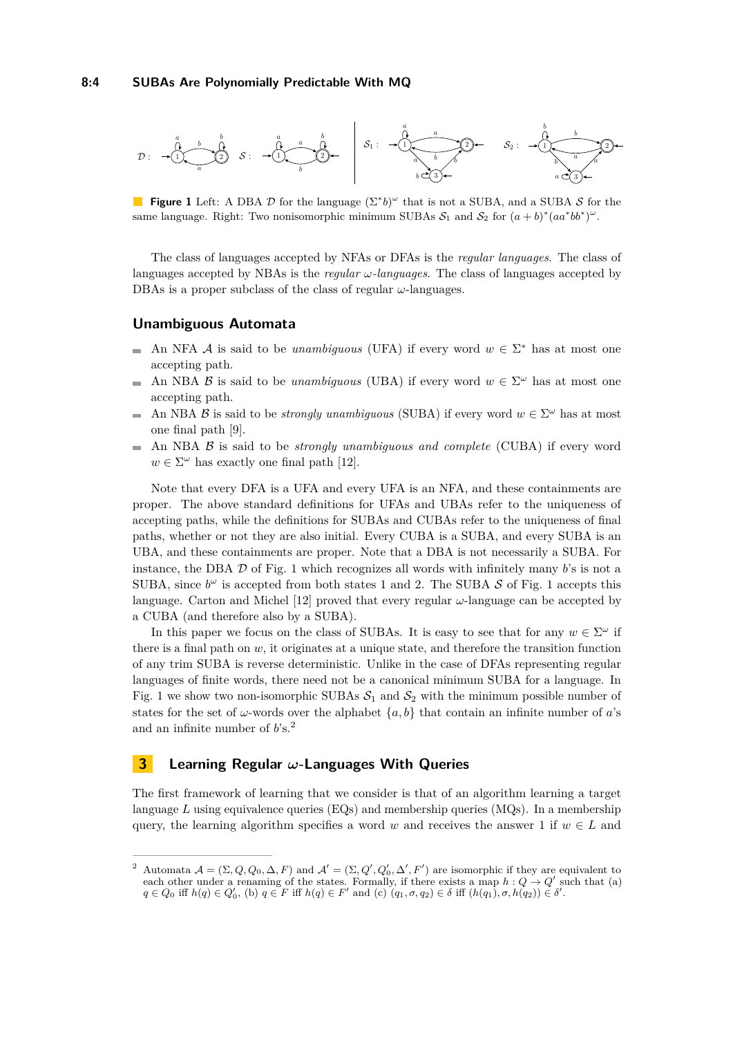<span id="page-3-1"></span>

**Figure 1** Left: A DBA  $\mathcal{D}$  for the language  $(\Sigma^* b)^{\omega}$  that is not a SUBA, and a SUBA S for the same language. Right: Two nonisomorphic minimum SUBAs  $S_1$  and  $S_2$  for  $(a + b)^*(aa^*bb^*)^\omega$ .

The class of languages accepted by NFAs or DFAs is the *regular languages*. The class of languages accepted by NBAs is the *regular ω-languages*. The class of languages accepted by DBAs is a proper subclass of the class of regular *ω*-languages.

### **Unambiguous Automata**

- An NFA A is said to be *unambiguous* (UFA) if every word  $w \in \Sigma^*$  has at most one accepting path.
- An NBA B is said to be *unambiguous* (UBA) if every word  $w \in \Sigma^{\omega}$  has at most one  $\equiv$ accepting path.
- An NBA B is said to be *strongly unambiguous* (SUBA) if every word  $w \in \Sigma^{\omega}$  has at most  $\sim$ one final path [\[9\]](#page-15-7).
- An NBA B is said to be *strongly unambiguous and complete* (CUBA) if every word  $\mathcal{L}_{\mathcal{A}}$  $w \in \Sigma^{\omega}$  has exactly one final path [\[12\]](#page-15-6).

Note that every DFA is a UFA and every UFA is an NFA, and these containments are proper. The above standard definitions for UFAs and UBAs refer to the uniqueness of accepting paths, while the definitions for SUBAs and CUBAs refer to the uniqueness of final paths, whether or not they are also initial. Every CUBA is a SUBA, and every SUBA is an UBA, and these containments are proper. Note that a DBA is not necessarily a SUBA. For instance, the DBA D of Fig. [1](#page-3-1) which recognizes all words with infinitely many *b*'s is not a SUBA, since  $b^{\omega}$  is accepted from both states [1](#page-3-1) and 2. The SUBA  $S$  of Fig. 1 accepts this language. Carton and Michel [\[12\]](#page-15-6) proved that every regular *ω*-language can be accepted by a CUBA (and therefore also by a SUBA).

In this paper we focus on the class of SUBAs. It is easy to see that for any  $w \in \Sigma^{\omega}$  if there is a final path on  $w$ , it originates at a unique state, and therefore the transition function of any trim SUBA is reverse deterministic. Unlike in the case of DFAs representing regular languages of finite words, there need not be a canonical minimum SUBA for a language. In Fig. [1](#page-3-1) we show two non-isomorphic SUBAs  $S_1$  and  $S_2$  with the minimum possible number of states for the set of  $\omega$ -words over the alphabet  $\{a, b\}$  that contain an infinite number of *a*'s and an infinite number of *b*'s.[2](#page-3-2)

# <span id="page-3-0"></span>**3 Learning Regular** *ω***-Languages With Queries**

The first framework of learning that we consider is that of an algorithm learning a target language *L* using equivalence queries (EQs) and membership queries (MQs). In a membership query, the learning algorithm specifies a word *w* and receives the answer 1 if  $w \in L$  and

<span id="page-3-2"></span><sup>&</sup>lt;sup>2</sup> Automata  $A = (\Sigma, Q, Q_0, \Delta, F)$  and  $A' = (\Sigma, Q', Q'_0, \Delta', F')$  are isomorphic if they are equivalent to each other under a renaming of the states. Formally, if there exists a map  $h: Q \to Q'$  such that (a)  $q \in Q_0$  iff  $h(q) \in Q'_0$ , (b)  $q \in F$  iff  $h(q) \in F'$  and (c)  $(q_1, \sigma, q_2) \in \delta$  iff  $(h(q_1), \sigma, h(q_2)) \in \delta'.$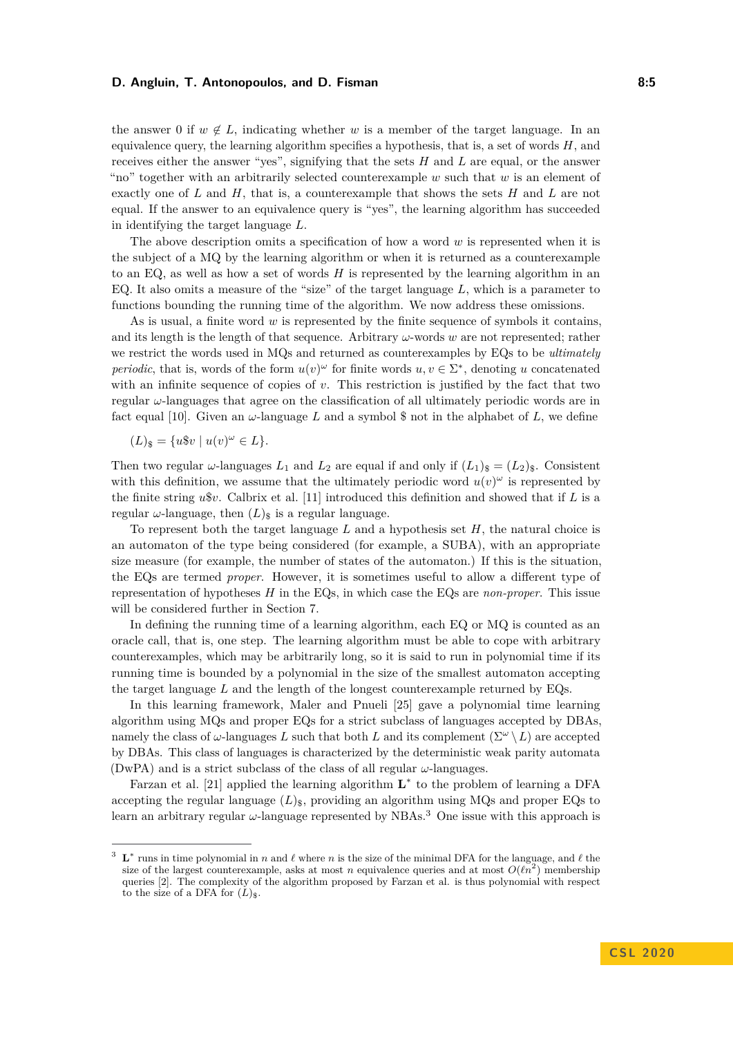### **D. Angluin, T. Antonopoulos, and D. Fisman 6:5 1988 1988 8:5 1988**

the answer 0 if  $w \notin L$ , indicating whether *w* is a member of the target language. In an equivalence query, the learning algorithm specifies a hypothesis, that is, a set of words *H*, and receives either the answer "yes", signifying that the sets *H* and *L* are equal, or the answer "no" together with an arbitrarily selected counterexample *w* such that *w* is an element of exactly one of *L* and *H*, that is, a counterexample that shows the sets *H* and *L* are not equal. If the answer to an equivalence query is "yes", the learning algorithm has succeeded in identifying the target language *L*.

The above description omits a specification of how a word *w* is represented when it is the subject of a MQ by the learning algorithm or when it is returned as a counterexample to an EQ, as well as how a set of words *H* is represented by the learning algorithm in an EQ. It also omits a measure of the "size" of the target language *L*, which is a parameter to functions bounding the running time of the algorithm. We now address these omissions.

As is usual, a finite word *w* is represented by the finite sequence of symbols it contains, and its length is the length of that sequence. Arbitrary *ω*-words *w* are not represented; rather we restrict the words used in MQs and returned as counterexamples by EQs to be *ultimately periodic*, that is, words of the form  $u(v)^\omega$  for finite words  $u, v \in \Sigma^*$ , denoting *u* concatenated with an infinite sequence of copies of *v*. This restriction is justified by the fact that two regular *ω*-languages that agree on the classification of all ultimately periodic words are in fact equal [\[10\]](#page-15-8). Given an  $\omega$ -language L and a symbol \$ not in the alphabet of L, we define

$$
(L)_{\$} = \{ u\$v \mid u(v)^\omega \in L \}.
$$

Then two regular  $\omega$ -languages  $L_1$  and  $L_2$  are equal if and only if  $(L_1)_\$ = (L_2)_\$$ . Consistent with this definition, we assume that the ultimately periodic word  $u(v)^\omega$  is represented by the finite string *u*\$*v*. Calbrix et al. [\[11\]](#page-15-9) introduced this definition and showed that if *L* is a regular  $\omega$ -language, then  $(L)_{\mathcal{S}}$  is a regular language.

To represent both the target language *L* and a hypothesis set *H*, the natural choice is an automaton of the type being considered (for example, a SUBA), with an appropriate size measure (for example, the number of states of the automaton.) If this is the situation, the EQs are termed *proper*. However, it is sometimes useful to allow a different type of representation of hypotheses *H* in the EQs, in which case the EQs are *non-proper*. This issue will be considered further in Section [7.](#page-13-1)

In defining the running time of a learning algorithm, each EQ or MQ is counted as an oracle call, that is, one step. The learning algorithm must be able to cope with arbitrary counterexamples, which may be arbitrarily long, so it is said to run in polynomial time if its running time is bounded by a polynomial in the size of the smallest automaton accepting the target language *L* and the length of the longest counterexample returned by EQs.

In this learning framework, Maler and Pnueli [\[25\]](#page-16-10) gave a polynomial time learning algorithm using MQs and proper EQs for a strict subclass of languages accepted by DBAs, namely the class of  $\omega$ -languages *L* such that both *L* and its complement  $(\Sigma^{\omega} \setminus L)$  are accepted by DBAs. This class of languages is characterized by the deterministic weak parity automata (DwPA) and is a strict subclass of the class of all regular *ω*-languages.

Farzan et al. [\[21\]](#page-16-9) applied the learning algorithm  $\mathbf{L}^*$  to the problem of learning a DFA accepting the regular language  $(L)_{\text{s}}$ , providing an algorithm using MQs and proper EQs to learn an arbitrary regular *ω*-language represented by NBAs.[3](#page-4-0) One issue with this approach is

<span id="page-4-0"></span><sup>&</sup>lt;sup>3</sup> **L**<sup>\*</sup> runs in time polynomial in *n* and  $\ell$  where *n* is the size of the minimal DFA for the language, and  $\ell$  the size of the largest counterexample, asks at most *n* equivalence queries and at most  $O(\ell n^2)$  membership queries [\[2\]](#page-15-0). The complexity of the algorithm proposed by Farzan et al. is thus polynomial with respect to the size of a DFA for  $(L)_{\$}$ .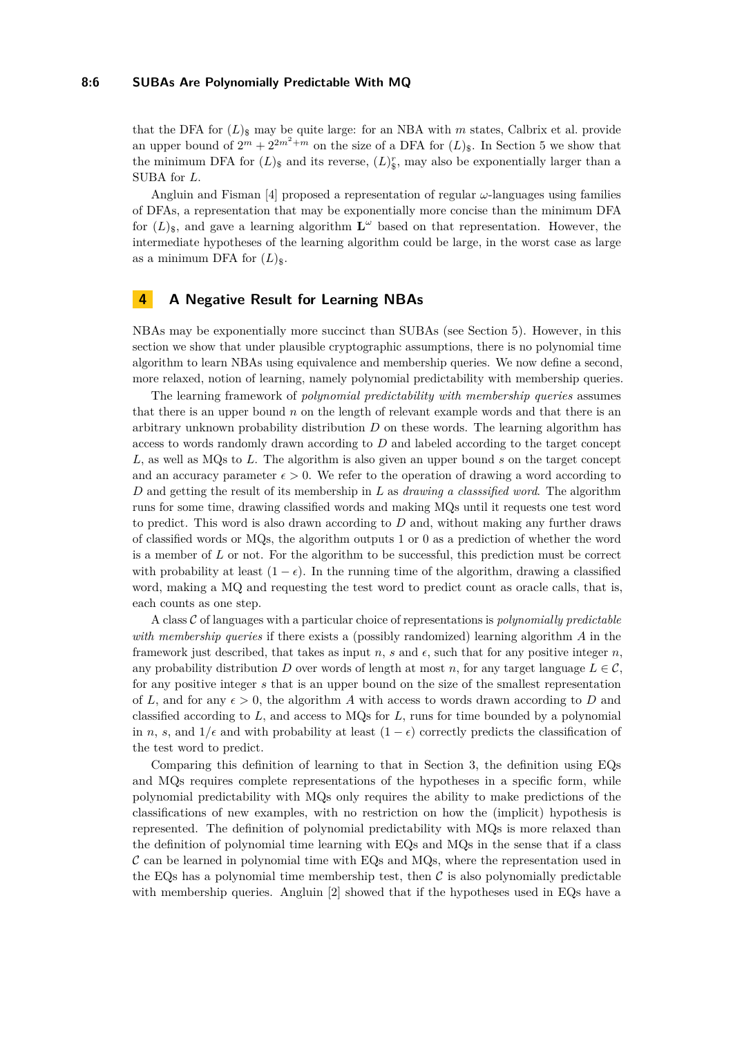#### **8:6 SUBAs Are Polynomially Predictable With MQ**

that the DFA for  $(L)_{\rm s}$  may be quite large: for an NBA with *m* states, Calbrix et al. provide an upper bound of  $2^m + 2^{2m^2+m}$  on the size of a DFA for  $(L)_{\$}$ . In Section [5](#page-7-0) we show that the minimum DFA for  $(L)_{\$}$  and its reverse,  $(L)_{\$}^r$ , may also be exponentially larger than a SUBA for *L*.

Angluin and Fisman [\[4\]](#page-15-10) proposed a representation of regular *ω*-languages using families of DFAs, a representation that may be exponentially more concise than the minimum DFA for  $(L)$ <sub>\$</sub>, and gave a learning algorithm  $\mathbf{L}^{\omega}$  based on that representation. However, the intermediate hypotheses of the learning algorithm could be large, in the worst case as large as a minimum DFA for  $(L)_{\$}$ .

# <span id="page-5-0"></span>**4 A Negative Result for Learning NBAs**

NBAs may be exponentially more succinct than SUBAs (see Section [5\)](#page-7-0). However, in this section we show that under plausible cryptographic assumptions, there is no polynomial time algorithm to learn NBAs using equivalence and membership queries. We now define a second, more relaxed, notion of learning, namely polynomial predictability with membership queries.

The learning framework of *polynomial predictability with membership queries* assumes that there is an upper bound *n* on the length of relevant example words and that there is an arbitrary unknown probability distribution *D* on these words. The learning algorithm has access to words randomly drawn according to *D* and labeled according to the target concept *L*, as well as MQs to *L*. The algorithm is also given an upper bound *s* on the target concept and an accuracy parameter  $\epsilon > 0$ . We refer to the operation of drawing a word according to *D* and getting the result of its membership in *L* as *drawing a classsified word*. The algorithm runs for some time, drawing classified words and making MQs until it requests one test word to predict. This word is also drawn according to *D* and, without making any further draws of classified words or MQs, the algorithm outputs 1 or 0 as a prediction of whether the word is a member of *L* or not. For the algorithm to be successful, this prediction must be correct with probability at least  $(1 - \epsilon)$ . In the running time of the algorithm, drawing a classified word, making a MQ and requesting the test word to predict count as oracle calls, that is, each counts as one step.

A class C of languages with a particular choice of representations is *polynomially predictable with membership queries* if there exists a (possibly randomized) learning algorithm *A* in the framework just described, that takes as input *n*, *s* and  $\epsilon$ , such that for any positive integer *n*, any probability distribution *D* over words of length at most *n*, for any target language  $L \in \mathcal{C}$ , for any positive integer *s* that is an upper bound on the size of the smallest representation of L, and for any  $\epsilon > 0$ , the algorithm A with access to words drawn according to D and classified according to *L*, and access to MQs for *L*, runs for time bounded by a polynomial in *n*, *s*, and  $1/\epsilon$  and with probability at least  $(1 - \epsilon)$  correctly predicts the classification of the test word to predict.

Comparing this definition of learning to that in Section [3,](#page-3-0) the definition using EQs and MQs requires complete representations of the hypotheses in a specific form, while polynomial predictability with MQs only requires the ability to make predictions of the classifications of new examples, with no restriction on how the (implicit) hypothesis is represented. The definition of polynomial predictability with MQs is more relaxed than the definition of polynomial time learning with EQs and MQs in the sense that if a class  $\mathcal C$  can be learned in polynomial time with EQs and MQs, where the representation used in the EQs has a polynomial time membership test, then  $\mathcal C$  is also polynomially predictable with membership queries. Angluin [\[2\]](#page-15-0) showed that if the hypotheses used in EQs have a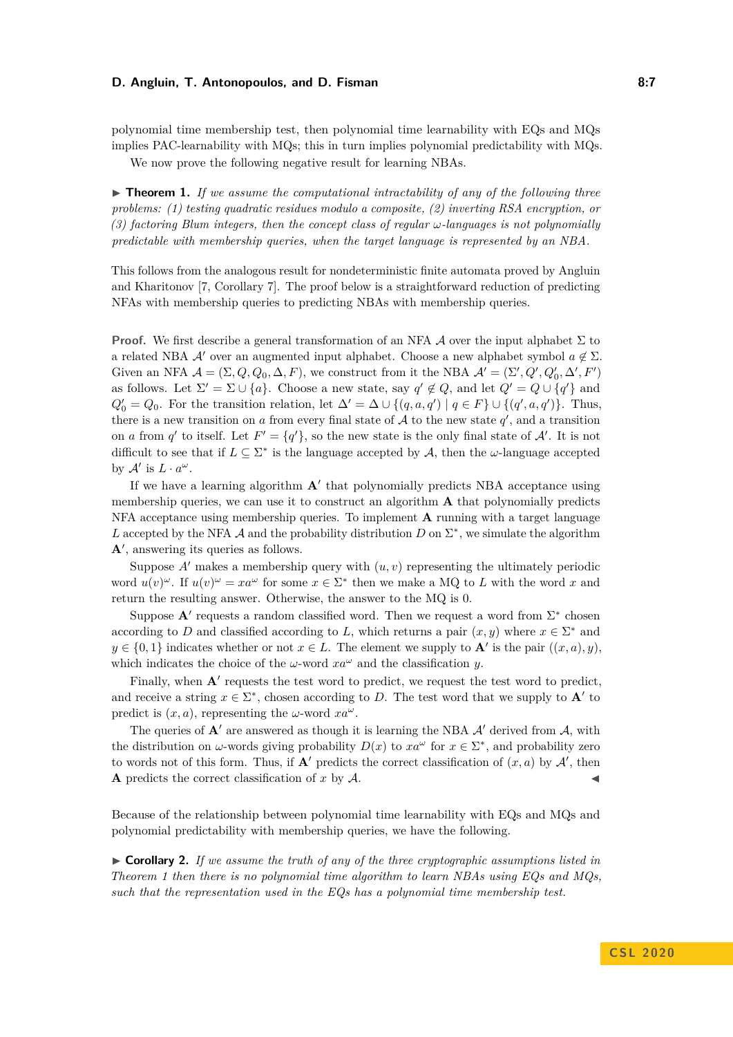### **D. Angluin, T. Antonopoulos, and D. Fisman 8:7 1988 1988 8:7**

polynomial time membership test, then polynomial time learnability with EQs and MQs implies PAC-learnability with MQs; this in turn implies polynomial predictability with MQs.

We now prove the following negative result for learning NBAs.

<span id="page-6-0"></span> $\triangleright$  **Theorem 1.** If we assume the computational intractability of any of the following three *problems: (1) testing quadratic residues modulo a composite, (2) inverting RSA encryption, or (3) factoring Blum integers, then the concept class of regular ω-languages is not polynomially predictable with membership queries, when the target language is represented by an NBA.*

This follows from the analogous result for nondeterministic finite automata proved by Angluin and Kharitonov [\[7,](#page-15-11) Corollary 7]. The proof below is a straightforward reduction of predicting NFAs with membership queries to predicting NBAs with membership queries.

**Proof.** We first describe a general transformation of an NFA  $\mathcal A$  over the input alphabet  $\Sigma$  to a related NBA A' over an augmented input alphabet. Choose a new alphabet symbol  $a \notin \Sigma$ . Given an NFA  $\mathcal{A} = (\Sigma, Q, Q_0, \Delta, F)$ , we construct from it the NBA  $\mathcal{A}' = (\Sigma', Q', Q'_0, \Delta', F')$ as follows. Let  $\Sigma' = \Sigma \cup \{a\}$ . Choose a new state, say  $q' \notin Q$ , and let  $Q' = Q \cup \{q'\}$  and  $Q_0' = Q_0$ . For the transition relation, let  $\Delta' = \Delta \cup \{(q, a, q') \mid q \in F\} \cup \{(q', a, q')\}$ . Thus, there is a new transition on  $a$  from every final state of  $A$  to the new state  $q'$ , and a transition on *a* from *q*' to itself. Let  $F' = \{q'\}$ , so the new state is the only final state of A'. It is not difficult to see that if  $L \subseteq \Sigma^*$  is the language accepted by A, then the  $\omega$ -language accepted by  $\mathcal{A}'$  is  $L \cdot a^{\omega}$ .

If we have a learning algorithm  $A'$  that polynomially predicts NBA acceptance using membership queries, we can use it to construct an algorithm **A** that polynomially predicts NFA acceptance using membership queries. To implement **A** running with a target language L accepted by the NFA  $\mathcal A$  and the probability distribution  $D$  on  $\Sigma^*$ , we simulate the algorithm  $\mathbf{A}'$ , answering its queries as follows.

Suppose  $A'$  makes a membership query with  $(u, v)$  representing the ultimately periodic word  $u(v)^{\omega}$ . If  $u(v)^{\omega} = xa^{\omega}$  for some  $x \in \Sigma^*$  then we make a MQ to *L* with the word *x* and return the resulting answer. Otherwise, the answer to the MQ is 0.

Suppose  $A'$  requests a random classified word. Then we request a word from  $\Sigma^*$  chosen according to *D* and classified according to *L*, which returns a pair  $(x, y)$  where  $x \in \Sigma^*$  and  $y \in \{0,1\}$  indicates whether or not  $x \in L$ . The element we supply to **A**<sup> $\prime$ </sup> is the pair  $((x, a), y)$ , which indicates the choice of the *ω*-word  $xa^{\omega}$  and the classification *y*.

Finally, when  $A'$  requests the test word to predict, we request the test word to predict, and receive a string  $x \in \Sigma^*$ , chosen according to *D*. The test word that we supply to **A**<sup>*'*</sup> to predict is  $(x, a)$ , representing the *ω*-word  $xa^{\omega}$ .

The queries of  $\mathbf{A}'$  are answered as though it is learning the NBA  $\mathcal{A}'$  derived from  $\mathcal{A}$ , with the distribution on  $\omega$ -words giving probability  $D(x)$  to  $xa^{\omega}$  for  $x \in \Sigma^*$ , and probability zero to words not of this form. Thus, if  $A'$  predicts the correct classification of  $(x, a)$  by  $A'$ , then **A** predicts the correct classification of  $x$  by  $A$ .

Because of the relationship between polynomial time learnability with EQs and MQs and polynomial predictability with membership queries, we have the following.

 $\triangleright$  **Corollary 2.** If we assume the truth of any of the three cryptographic assumptions listed in *Theorem [1](#page-6-0) then there is no polynomial time algorithm to learn NBAs using EQs and MQs, such that the representation used in the EQs has a polynomial time membership test.*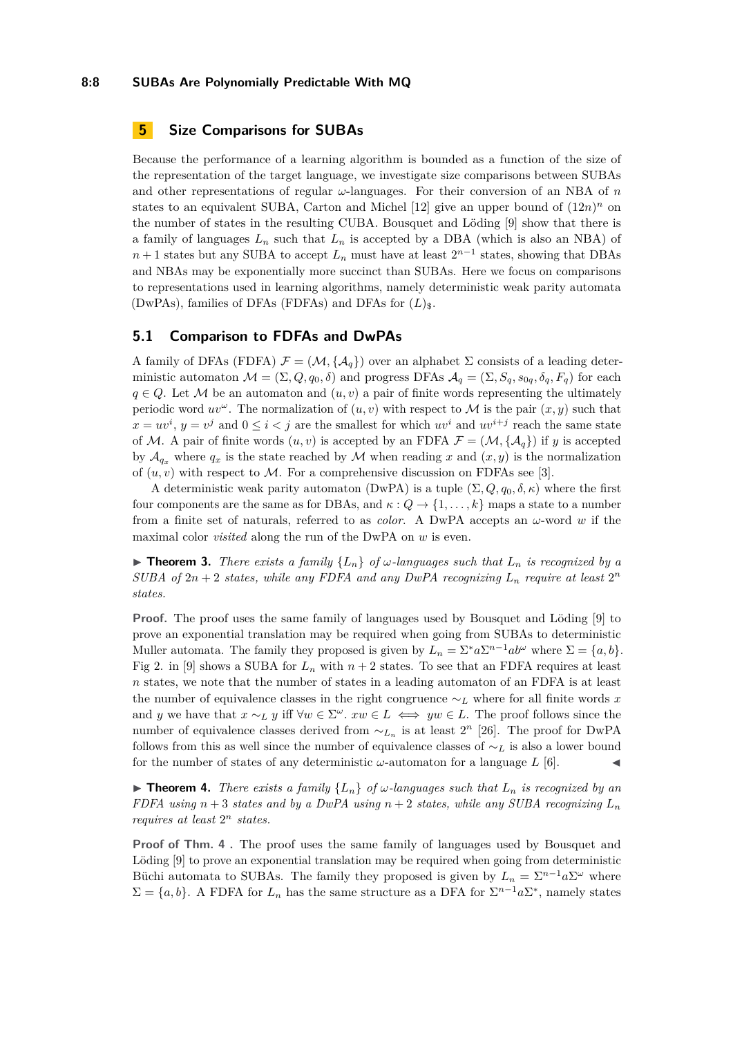### **8:8 SUBAs Are Polynomially Predictable With MQ**

# <span id="page-7-0"></span>**5 Size Comparisons for SUBAs**

Because the performance of a learning algorithm is bounded as a function of the size of the representation of the target language, we investigate size comparisons between SUBAs and other representations of regular *ω*-languages. For their conversion of an NBA of *n* states to an equivalent SUBA, Carton and Michel  $[12]$  give an upper bound of  $(12n)^n$  on the number of states in the resulting CUBA. Bousquet and Löding [\[9\]](#page-15-7) show that there is a family of languages  $L_n$  such that  $L_n$  is accepted by a DBA (which is also an NBA) of *n* + 1 states but any SUBA to accept  $L_n$  must have at least  $2^{n-1}$  states, showing that DBAs and NBAs may be exponentially more succinct than SUBAs. Here we focus on comparisons to representations used in learning algorithms, namely deterministic weak parity automata (DwPAs), families of DFAs (FDFAs) and DFAs for  $(L)_{\$}$ .

# **5.1 Comparison to FDFAs and DwPAs**

A family of DFAs (FDFA)  $\mathcal{F} = (\mathcal{M}, {\mathcal{A}_q})$  over an alphabet  $\Sigma$  consists of a leading deterministic automaton  $\mathcal{M} = (\Sigma, Q, q_0, \delta)$  and progress DFAs  $\mathcal{A}_q = (\Sigma, S_q, s_{0q}, \delta_q, F_q)$  for each  $q \in Q$ . Let M be an automaton and  $(u, v)$  a pair of finite words representing the ultimately periodic word  $uv^{\omega}$ . The normalization of  $(u, v)$  with respect to M is the pair  $(x, y)$  such that  $x = uv^i$ ,  $y = v^j$  and  $0 \le i < j$  are the smallest for which  $uv^i$  and  $uv^{i+j}$  reach the same state of M. A pair of finite words  $(u, v)$  is accepted by an FDFA  $\mathcal{F} = (\mathcal{M}, \{A_a\})$  if *y* is accepted by  $\mathcal{A}_{q_x}$  where  $q_x$  is the state reached by M when reading x and  $(x, y)$  is the normalization of  $(u, v)$  with respect to M. For a comprehensive discussion on FDFAs see [\[3\]](#page-15-12).

A deterministic weak parity automaton (DwPA) is a tuple  $(\Sigma, Q, q_0, \delta, \kappa)$  where the first four components are the same as for DBAs, and  $\kappa: Q \to \{1, \ldots, k\}$  maps a state to a number from a finite set of naturals, referred to as *color*. A DwPA accepts an *ω*-word *w* if the maximal color *visited* along the run of the DwPA on *w* is even.

**Find 1.** *There exists a family*  $\{L_n\}$  *of*  $\omega$ *-languages such that*  $L_n$  *is recognized by a SUBA of*  $2n + 2$  *states, while any FDFA and any DwPA recognizing*  $L_n$  *require at least*  $2^n$ *states.*

**Proof.** The proof uses the same family of languages used by Bousquet and Löding [\[9\]](#page-15-7) to prove an exponential translation may be required when going from SUBAs to deterministic Muller automata. The family they proposed is given by  $L_n = \sum^* a \sum^{n-1} a b^{\omega}$  where  $\Sigma = \{a, b\}$ . Fig 2. in [\[9\]](#page-15-7) shows a SUBA for  $L_n$  with  $n+2$  states. To see that an FDFA requires at least *n* states, we note that the number of states in a leading automaton of an FDFA is at least the number of equivalence classes in the right congruence ∼*<sup>L</sup>* where for all finite words *x* and *y* we have that  $x \sim_L y$  iff  $\forall w \in \Sigma^\omega$ .  $xw \in L \iff yw \in L$ . The proof follows since the number of equivalence classes derived from ∼*<sup>L</sup><sup>n</sup>* is at least 2 *<sup>n</sup>* [\[26\]](#page-16-14). The proof for DwPA follows from this as well since the number of equivalence classes of ∼*<sup>L</sup>* is also a lower bound for the number of states of any deterministic  $\omega$ -automaton for a language  $L$  [\[6\]](#page-15-13).

<span id="page-7-1"></span>**If Theorem 4.** *There exists a family*  $\{L_n\}$  *of*  $\omega$ *-languages such that*  $L_n$  *is recognized by an FDFA using*  $n + 3$  *states and by a DwPA using*  $n + 2$  *states, while any SUBA recognizing*  $L_n$ *requires at least* 2 *<sup>n</sup> states.*

**Proof of Thm. [4](#page-7-1) .** The proof uses the same family of languages used by Bousquet and Löding [\[9\]](#page-15-7) to prove an exponential translation may be required when going from deterministic Büchi automata to SUBAs. The family they proposed is given by  $L_n = \sum^{n-1} a \sum^{\omega}$  where  $\Sigma = \{a, b\}$ . A FDFA for  $L_n$  has the same structure as a DFA for  $\Sigma^{n-1} a \Sigma^*$ , namely states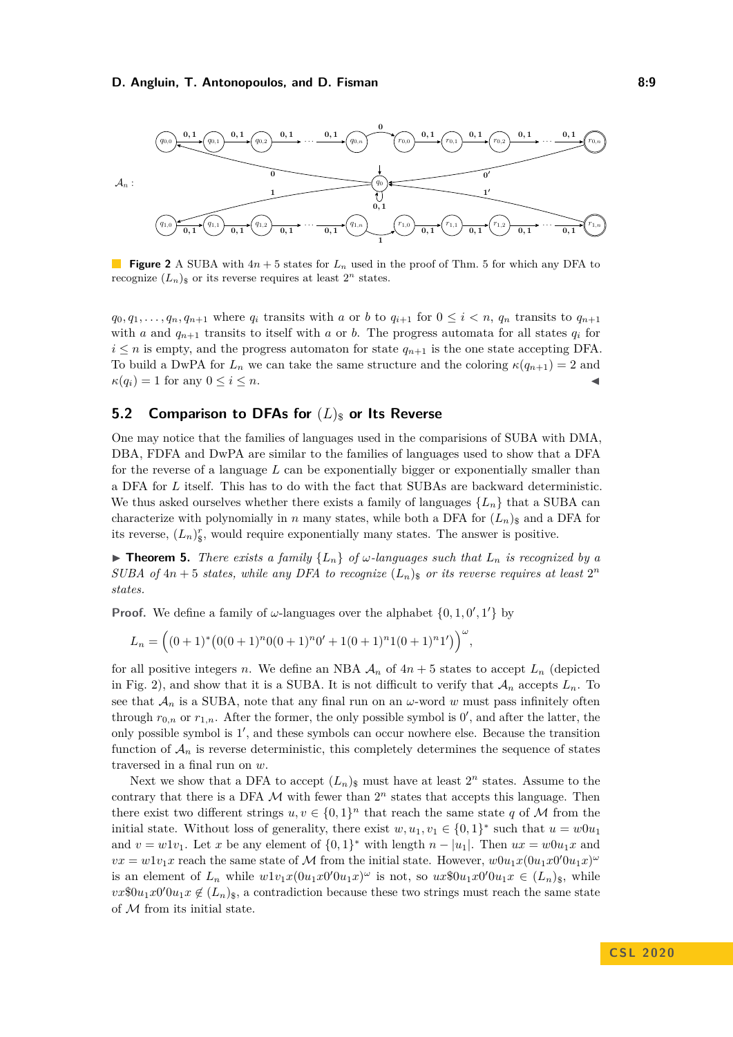### **D. Angluin, T. Antonopoulos, and D. Fisman 6:9 1988 1988 1988 1989 1989 1989 1989 1989**

<span id="page-8-1"></span>

**Figure 2** A SUBA with 4*n* + 5 states for *L<sup>n</sup>* used in the proof of Thm. [5](#page-8-0) for which any DFA to recognize  $(L_n)$ <sup>s</sup> or its reverse requires at least  $2^n$  states.

 $q_0, q_1, \ldots, q_n, q_{n+1}$  where  $q_i$  transits with *a* or *b* to  $q_{i+1}$  for  $0 \leq i \leq n$ ,  $q_n$  transits to  $q_{n+1}$ with *a* and  $q_{n+1}$  transits to itself with *a* or *b*. The progress automata for all states  $q_i$  for  $i \leq n$  is empty, and the progress automaton for state  $q_{n+1}$  is the one state accepting DFA. To build a DwPA for  $L_n$  we can take the same structure and the coloring  $\kappa(q_{n+1}) = 2$  and  $\kappa(q_i) = 1$  for any  $0 \leq i \leq n$ .

## **5.2 Comparison to DFAs for**  $(L)_{\rm s}$  or Its Reverse

One may notice that the families of languages used in the comparisions of SUBA with DMA, DBA, FDFA and DwPA are similar to the families of languages used to show that a DFA for the reverse of a language *L* can be exponentially bigger or exponentially smaller than a DFA for *L* itself. This has to do with the fact that SUBAs are backward deterministic. We thus asked ourselves whether there exists a family of languages  $\{L_n\}$  that a SUBA can characterize with polynomially in *n* many states, while both a DFA for  $(L_n)$ <sub>s</sub> and a DFA for its reverse,  $(L_n)$ <sup>r</sup><sub>s</sub>, would require exponentially many states. The answer is positive.

<span id="page-8-0"></span>**In Theorem 5.** *There exists a family*  ${L_n}$  *of*  $\omega$ *-languages such that*  $L_n$  *is recognized by a SUBA of*  $4n + 5$  *states, while any DFA to recognize*  $(L_n)$  *s or its reverse requires at least*  $2^n$ *states.*

**Proof.** We define a family of  $\omega$ -languages over the alphabet  $\{0, 1, 0', 1'\}$  by

$$
L_n = ((0+1)^* (0(0+1)^n 0(0+1)^n 0' + 1(0+1)^n 1(0+1)^n 1')\big)^{\omega},
$$

for all positive integers *n*. We define an NBA  $A_n$  of  $4n+5$  states to accept  $L_n$  (depicted in Fig. [2\)](#page-8-1), and show that it is a SUBA. It is not difficult to verify that  $A_n$  accepts  $L_n$ . To see that  $\mathcal{A}_n$  is a SUBA, note that any final run on an  $\omega$ -word w must pass infinitely often through  $r_{0,n}$  or  $r_{1,n}$ . After the former, the only possible symbol is  $0'$ , and after the latter, the only possible symbol is 1', and these symbols can occur nowhere else. Because the transition function of  $A_n$  is reverse deterministic, this completely determines the sequence of states traversed in a final run on *w*.

Next we show that a DFA to accept  $(L_n)$ <sub>\$</sub> must have at least  $2^n$  states. Assume to the contrary that there is a DFA  $M$  with fewer than  $2^n$  states that accepts this language. Then there exist two different strings  $u, v \in \{0, 1\}^n$  that reach the same state q of M from the initial state. Without loss of generality, there exist  $w, u_1, v_1 \in \{0, 1\}^*$  such that  $u = w0u_1$ and  $v = w1v_1$ . Let *x* be any element of  $\{0,1\}^*$  with length  $n - |u_1|$ . Then  $ux = w0u_1x$  and  $vx = w1v_1x$  reach the same state of M from the initial state. However,  $w0u_1x(0u_1x0'0u_1x)$ is an element of  $L_n$  while  $w1v_1x(0u_1x0'0u_1x)^\omega$  is not, so  $ux\$\theta u_1x0'0u_1x \in (L_n)_\$$ , while  $vx$0u_1x0'0u_1x \notin (L_n)_\$$ , a contradiction because these two strings must reach the same state of  $M$  from its initial state.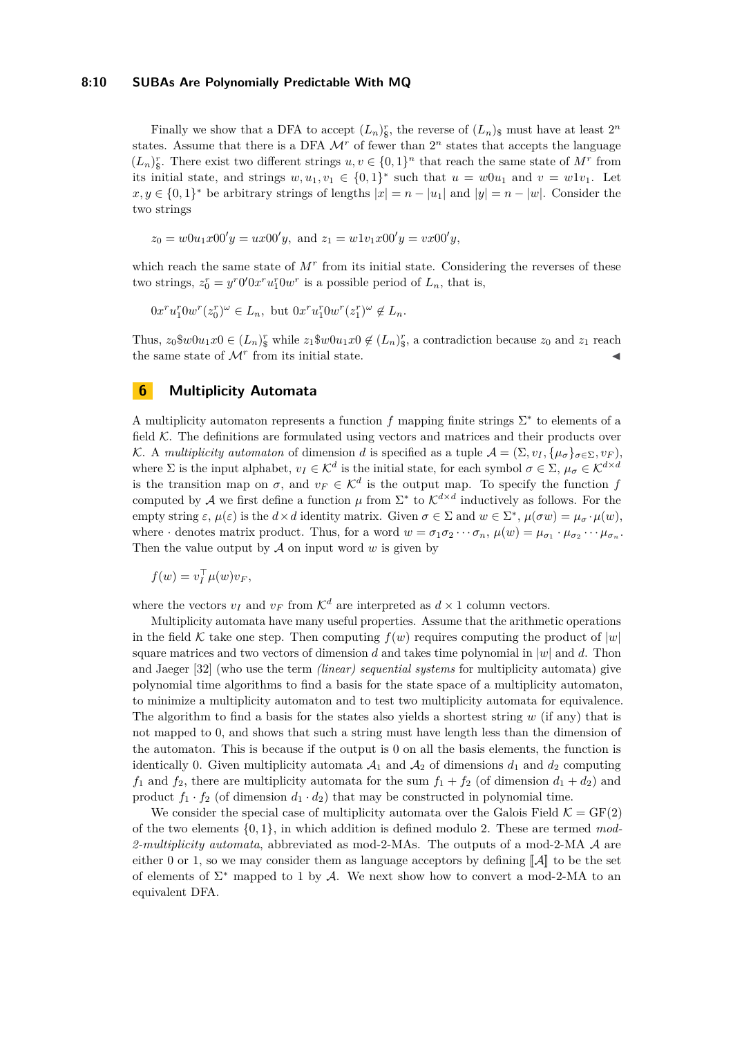Finally we show that a DFA to accept  $(L_n)_{\S}^r$ , the reverse of  $(L_n)_{\S}$  must have at least  $2^n$ states. Assume that there is a DFA  $\mathcal{M}^r$  of fewer than  $2^n$  states that accepts the language  $(L_n)_s^r$ . There exist two different strings  $u, v \in \{0, 1\}^n$  that reach the same state of  $M^r$  from its initial state, and strings  $w, u_1, v_1 \in \{0, 1\}^*$  such that  $u = w0u_1$  and  $v = w1v_1$ . Let  $x, y \in \{0, 1\}^*$  be arbitrary strings of lengths  $|x| = n - |u_1|$  and  $|y| = n - |w|$ . Consider the two strings

$$
z_0 = w0u_1x00'y = ux00'y
$$
, and  $z_1 = w1v_1x00'y = vx00'y$ ,

which reach the same state of  $M<sup>r</sup>$  from its initial state. Considering the reverses of these two strings,  $z_0^r = y^r 0' 0x^r u_1^r 0w^r$  is a possible period of  $L_n$ , that is,

 $0x^{r}u_{1}^{r}0w^{r}(z_{0}^{r})^{\omega} \in L_{n}, \text{ but } 0x^{r}u_{1}^{r}0w^{r}(z_{1}^{r})^{\omega} \notin L_{n}.$ 

Thus,  $z_0$  $\text{\$} w0u_1x0 \in (L_n)^r$  while  $z_1 \text{\$} w0u_1x0 \notin (L_n)^r$ , a contradiction because  $z_0$  and  $z_1$  reach the same state of  $\mathcal{M}^r$  from its initial state.

# <span id="page-9-0"></span>**6 Multiplicity Automata**

A multiplicity automaton represents a function  $f$  mapping finite strings  $\Sigma^*$  to elements of a field  $K$ . The definitions are formulated using vectors and matrices and their products over K. A *multiplicity automaton* of dimension *d* is specified as a tuple  $\mathcal{A} = (\Sigma, v_I, \{\mu_\sigma\}_{\sigma \in \Sigma}, v_F)$ , where  $\Sigma$  is the input alphabet,  $v_I \in \mathcal{K}^d$  is the initial state, for each symbol  $\sigma \in \Sigma$ ,  $\mu_{\sigma} \in \mathcal{K}^{d \times d}$ is the transition map on  $\sigma$ , and  $v_F \in \mathcal{K}^d$  is the output map. To specify the function *f* computed by A we first define a function  $\mu$  from  $\Sigma^*$  to  $\mathcal{K}^{d \times d}$  inductively as follows. For the empty string  $\varepsilon$ ,  $\mu(\varepsilon)$  is the  $d \times d$  identity matrix. Given  $\sigma \in \Sigma$  and  $w \in \Sigma^*$ ,  $\mu(\sigma w) = \mu_\sigma \cdot \mu(w)$ , where  $\cdot$  denotes matrix product. Thus, for a word  $w = \sigma_1 \sigma_2 \cdots \sigma_n$ ,  $\mu(w) = \mu_{\sigma_1} \cdot \mu_{\sigma_2} \cdots \mu_{\sigma_n}$ . Then the value output by  $A$  on input word  $w$  is given by

$$
f(w) = v_I^{\top} \mu(w) v_F,
$$

where the vectors  $v_I$  and  $v_F$  from  $K^d$  are interpreted as  $d \times 1$  column vectors.

Multiplicity automata have many useful properties. Assume that the arithmetic operations in the field K take one step. Then computing  $f(w)$  requires computing the product of  $|w|$ square matrices and two vectors of dimension *d* and takes time polynomial in |*w*| and *d*. Thon and Jaeger [\[32\]](#page-16-15) (who use the term *(linear) sequential systems* for multiplicity automata) give polynomial time algorithms to find a basis for the state space of a multiplicity automaton, to minimize a multiplicity automaton and to test two multiplicity automata for equivalence. The algorithm to find a basis for the states also yields a shortest string *w* (if any) that is not mapped to 0, and shows that such a string must have length less than the dimension of the automaton. This is because if the output is 0 on all the basis elements, the function is identically 0. Given multiplicity automata  $A_1$  and  $A_2$  of dimensions  $d_1$  and  $d_2$  computing  $f_1$  and  $f_2$ , there are multiplicity automata for the sum  $f_1 + f_2$  (of dimension  $d_1 + d_2$ ) and product  $f_1 \cdot f_2$  (of dimension  $d_1 \cdot d_2$ ) that may be constructed in polynomial time.

<span id="page-9-1"></span>We consider the special case of multiplicity automata over the Galois Field  $\mathcal{K} = \text{GF}(2)$ of the two elements {0*,* 1}, in which addition is defined modulo 2. These are termed *mod-2-multiplicity automata*, abbreviated as mod-2-MAs. The outputs of a mod-2-MA A are either 0 or 1, so we may consider them as language acceptors by defining  $\llbracket \mathcal{A} \rrbracket$  to be the set of elements of  $\Sigma^*$  mapped to 1 by A. We next show how to convert a mod-2-MA to an equivalent DFA.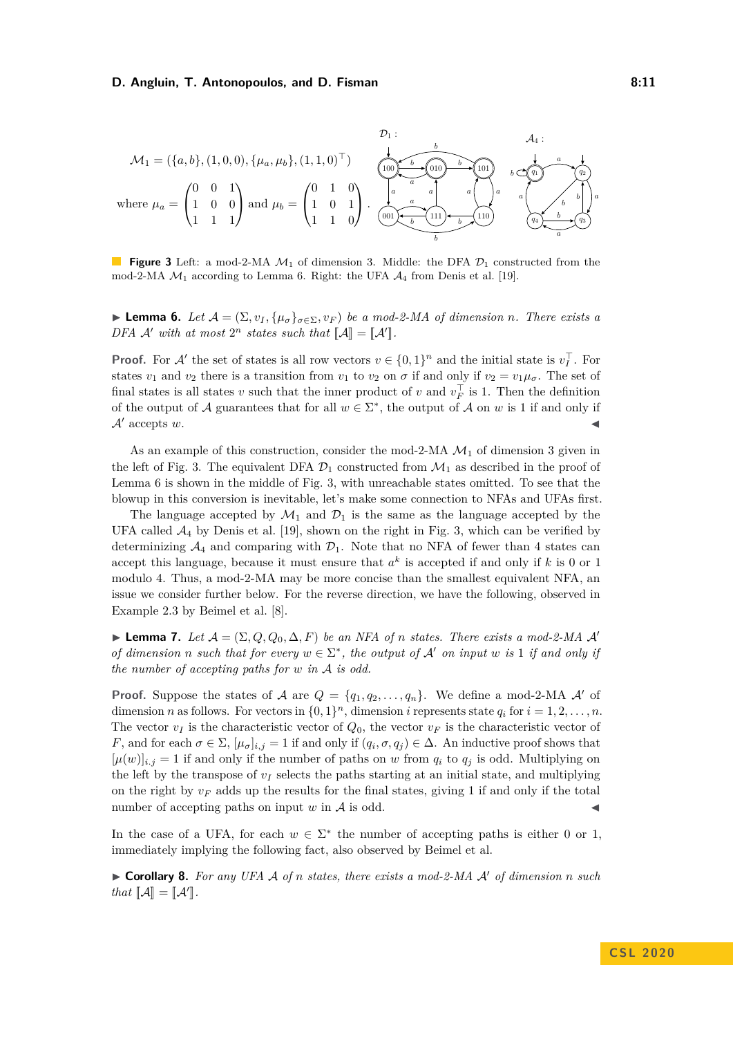### **D. Angluin, T. Antonopoulos, and D. Fisman 6: 11 8:11**

<span id="page-10-0"></span>

**Figure 3** Left: a mod-2-MA  $\mathcal{M}_1$  of dimension 3. Middle: the DFA  $\mathcal{D}_1$  constructed from the mod-2-MA  $\mathcal{M}_1$  according to Lemma [6.](#page-9-1) Right: the UFA  $\mathcal{A}_4$  from Denis et al. [\[19\]](#page-16-16).

**► Lemma 6.** *Let*  $\mathcal{A} = (\Sigma, v_I, \{\mu_{\sigma}\}_{\sigma \in \Sigma}, v_F)$  *be a mod-2-MA of dimension n. There exists a* DFA  $\mathcal{A}'$  with at most  $2^n$  states such that  $\llbracket \mathcal{A} \rrbracket = \llbracket \mathcal{A}' \rrbracket$ .

**Proof.** For A' the set of states is all row vectors  $v \in \{0,1\}^n$  and the initial state is  $v_I^{\top}$ . For states  $v_1$  and  $v_2$  there is a transition from  $v_1$  to  $v_2$  on  $\sigma$  if and only if  $v_2 = v_1 \mu_{\sigma}$ . The set of final states is all states *v* such that the inner product of *v* and  $v_F^{\top}$  is 1. Then the definition of the output of A guarantees that for all  $w \in \Sigma^*$ , the output of A on w is 1 if and only if  $A'$  accepts  $w$ .

As an example of this construction, consider the mod-2-MA  $\mathcal{M}_1$  of dimension 3 given in the left of Fig. [3.](#page-10-0) The equivalent DFA  $\mathcal{D}_1$  constructed from  $\mathcal{M}_1$  as described in the proof of Lemma [6](#page-9-1) is shown in the middle of Fig. [3,](#page-10-0) with unreachable states omitted. To see that the blowup in this conversion is inevitable, let's make some connection to NFAs and UFAs first.

The language accepted by  $\mathcal{M}_1$  and  $\mathcal{D}_1$  is the same as the language accepted by the UFA called  $A_4$  by Denis et al. [\[19\]](#page-16-16), shown on the right in Fig. [3,](#page-10-0) which can be verified by determinizing  $\mathcal{A}_4$  and comparing with  $\mathcal{D}_1$ . Note that no NFA of fewer than 4 states can accept this language, because it must ensure that  $a^k$  is accepted if and only if  $k$  is 0 or 1 modulo 4. Thus, a mod-2-MA may be more concise than the smallest equivalent NFA, an issue we consider further below. For the reverse direction, we have the following, observed in Example 2.3 by Beimel et al. [\[8\]](#page-15-14).

<span id="page-10-1"></span>► **Lemma 7.** *Let*  $A = (\Sigma, Q, Q_0, \Delta, F)$  *be an NFA of n states. There exists a mod-2-MA A' of dimension n such that for every*  $w \in \Sigma^*$ , the *output of* A' *on input w is* 1 *if and only if the number of accepting paths for w in* A *is odd.*

**Proof.** Suppose the states of A are  $Q = \{q_1, q_2, \ldots, q_n\}$ . We define a mod-2-MA A' of dimension *n* as follows. For vectors in  $\{0,1\}^n$ , dimension *i* represents state  $q_i$  for  $i = 1,2,\ldots,n$ . The vector  $v_I$  is the characteristic vector of  $Q_0$ , the vector  $v_F$  is the characteristic vector of *F*, and for each  $\sigma \in \Sigma$ ,  $[\mu_{\sigma}]_{i,j} = 1$  if and only if  $(q_i, \sigma, q_j) \in \Delta$ . An inductive proof shows that  $[\mu(w)]_{i,j} = 1$  if and only if the number of paths on *w* from  $q_i$  to  $q_j$  is odd. Multiplying on the left by the transpose of  $v_I$  selects the paths starting at an initial state, and multiplying on the right by  $v_F$  adds up the results for the final states, giving 1 if and only if the total number of accepting paths on input  $w$  in  $A$  is odd.

In the case of a UFA, for each  $w \in \Sigma^*$  the number of accepting paths is either 0 or 1, immediately implying the following fact, also observed by Beimel et al.

<span id="page-10-2"></span> $\triangleright$  **Corollary 8.** For any UFA A of *n* states, there exists a mod-2-MA A' of dimension *n* such *that*  $[\![\mathcal{A}]\!] = [\![\mathcal{A}']\!]$ .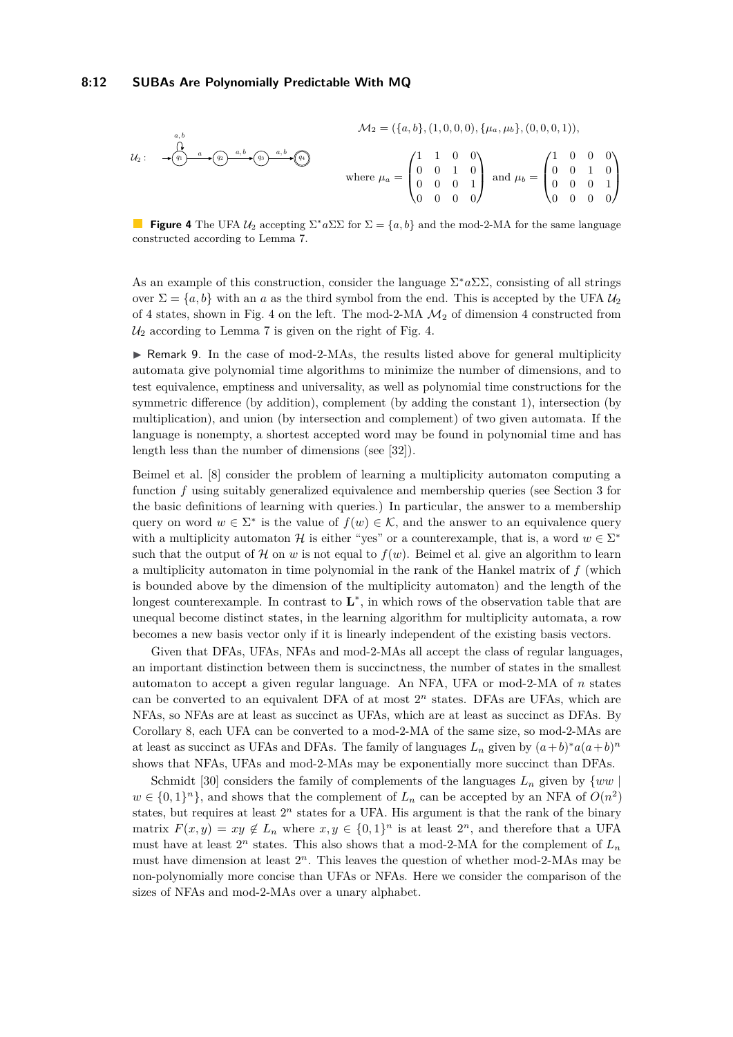<span id="page-11-0"></span>
$$
M_2 = (\{a, b\}, (1, 0, 0, 0), \{\mu_a, \mu_b\}, (0, 0, 0, 1)),
$$
  

$$
u_2: \longrightarrow \underbrace{\overset{a, b}{(q)} \xrightarrow{a, b}} \overset{a, b}{(q)} \longrightarrow \underbrace{\overset{a, b}{(q)} \xrightarrow{a, b}} \overset{a, b}{(q)}
$$
  
where 
$$
\mu_a = \begin{pmatrix} 1 & 1 & 0 & 0 \\ 0 & 0 & 1 & 0 \\ 0 & 0 & 0 & 1 \\ 0 & 0 & 0 & 0 \end{pmatrix} \text{ and } \mu_b = \begin{pmatrix} 1 & 0 & 0 & 0 \\ 0 & 0 & 1 & 0 \\ 0 & 0 & 0 & 1 \\ 0 & 0 & 0 & 0 \end{pmatrix}
$$

**Figure 4** The UFA  $U_2$  accepting  $\Sigma^* a \Sigma \Sigma$  for  $\Sigma = \{a, b\}$  and the mod-2-MA for the same language constructed according to Lemma [7.](#page-10-1)

As an example of this construction, consider the language  $\Sigma^* a \Sigma \Sigma$ , consisting of all strings over  $\Sigma = \{a, b\}$  with an *a* as the third symbol from the end. This is accepted by the UFA  $\mathcal{U}_2$ of [4](#page-11-0) states, shown in Fig. 4 on the left. The mod-2-MA  $\mathcal{M}_2$  of dimension 4 constructed from  $U_2$  according to Lemma [7](#page-10-1) is given on the right of Fig. [4.](#page-11-0)

<span id="page-11-1"></span> $\triangleright$  Remark 9. In the case of mod-2-MAs, the results listed above for general multiplicity automata give polynomial time algorithms to minimize the number of dimensions, and to test equivalence, emptiness and universality, as well as polynomial time constructions for the symmetric difference (by addition), complement (by adding the constant 1), intersection (by multiplication), and union (by intersection and complement) of two given automata. If the language is nonempty, a shortest accepted word may be found in polynomial time and has length less than the number of dimensions (see [\[32\]](#page-16-15)).

Beimel et al. [\[8\]](#page-15-14) consider the problem of learning a multiplicity automaton computing a function f using suitably generalized equivalence and membership queries (see Section [3](#page-3-0) for the basic definitions of learning with queries.) In particular, the answer to a membership query on word  $w \in \Sigma^*$  is the value of  $f(w) \in \mathcal{K}$ , and the answer to an equivalence query with a multiplicity automaton H is either "yes" or a counterexample, that is, a word  $w \in \Sigma^*$ such that the output of  $\mathcal H$  on  $w$  is not equal to  $f(w)$ . Beimel et al. give an algorithm to learn a multiplicity automaton in time polynomial in the rank of the Hankel matrix of *f* (which is bounded above by the dimension of the multiplicity automaton) and the length of the longest counterexample. In contrast to **L**<sup>\*</sup>, in which rows of the observation table that are unequal become distinct states, in the learning algorithm for multiplicity automata, a row becomes a new basis vector only if it is linearly independent of the existing basis vectors.

Given that DFAs, UFAs, NFAs and mod-2-MAs all accept the class of regular languages, an important distinction between them is succinctness, the number of states in the smallest automaton to accept a given regular language. An NFA, UFA or mod-2-MA of *n* states can be converted to an equivalent DFA of at most  $2<sup>n</sup>$  states. DFAs are UFAs, which are NFAs, so NFAs are at least as succinct as UFAs, which are at least as succinct as DFAs. By Corollary [8,](#page-10-2) each UFA can be converted to a mod-2-MA of the same size, so mod-2-MAs are at least as succinct as UFAs and DFAs. The family of languages  $L_n$  given by  $(a+b)^*a(a+b)^n$ shows that NFAs, UFAs and mod-2-MAs may be exponentially more succinct than DFAs.

Schmidt [\[30\]](#page-16-17) considers the family of complements of the languages  $L_n$  given by  $\{ww \}$  $w \in \{0,1\}^n\}$ , and shows that the complement of  $L_n$  can be accepted by an NFA of  $O(n^2)$ states, but requires at least  $2^n$  states for a UFA. His argument is that the rank of the binary matrix  $F(x, y) = xy \notin L_n$  where  $x, y \in \{0, 1\}^n$  is at least  $2^n$ , and therefore that a UFA must have at least  $2^n$  states. This also shows that a mod-2-MA for the complement of  $L_n$ must have dimension at least  $2^n$ . This leaves the question of whether mod-2-MAs may be non-polynomially more concise than UFAs or NFAs. Here we consider the comparison of the sizes of NFAs and mod-2-MAs over a unary alphabet.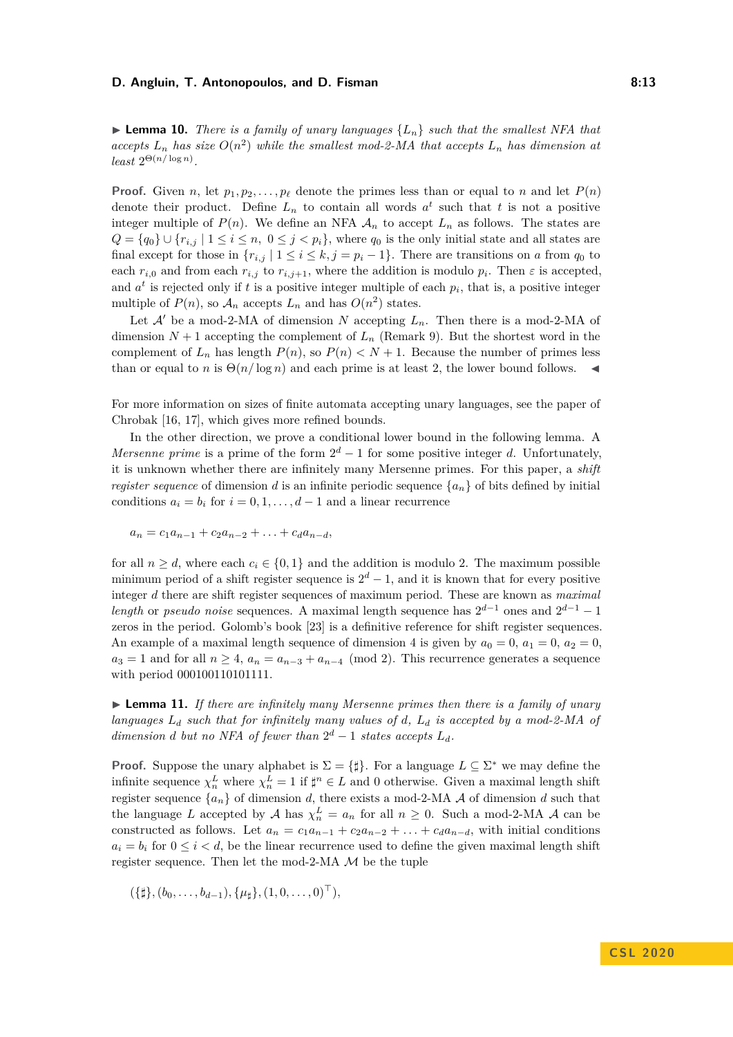### **D. Angluin, T. Antonopoulos, and D. Fisman 8:13 8:13**

**I Lemma 10.** *There is a family of unary languages*  ${L_n}$  *such that the smallest NFA that* accepts  $L_n$  has size  $O(n^2)$  while the smallest mod-2-MA that accepts  $L_n$  has dimension at  $least \ 2^{\Theta(n/\log n)}$ .

**Proof.** Given *n*, let  $p_1, p_2, \ldots, p_\ell$  denote the primes less than or equal to *n* and let  $P(n)$ denote their product. Define  $L_n$  to contain all words  $a^t$  such that  $t$  is not a positive integer multiple of  $P(n)$ . We define an NFA  $A_n$  to accept  $L_n$  as follows. The states are  $Q = \{q_0\} \cup \{r_{i,j} \mid 1 \leq i \leq n, 0 \leq j < p_i\}$ , where  $q_0$  is the only initial state and all states are final except for those in  $\{r_{i,j} \mid 1 \le i \le k, j = p_i - 1\}$ . There are transitions on *a* from  $q_0$  to each  $r_{i,0}$  and from each  $r_{i,j}$  to  $r_{i,j+1}$ , where the addition is modulo  $p_i$ . Then  $\varepsilon$  is accepted, and  $a^t$  is rejected only if  $t$  is a positive integer multiple of each  $p_i$ , that is, a positive integer multiple of  $P(n)$ , so  $\mathcal{A}_n$  accepts  $L_n$  and has  $O(n^2)$  states.

Let  $\mathcal{A}'$  be a mod-2-MA of dimension *N* accepting  $L_n$ . Then there is a mod-2-MA of dimension  $N + 1$  accepting the complement of  $L_n$  (Remark [9\)](#page-11-1). But the shortest word in the complement of  $L_n$  has length  $P(n)$ , so  $P(n) < N + 1$ . Because the number of primes less than or equal to *n* is  $\Theta(n/\log n)$  and each prime is at least 2, the lower bound follows.

For more information on sizes of finite automata accepting unary languages, see the paper of Chrobak [\[16,](#page-16-18) [17\]](#page-16-19), which gives more refined bounds.

In the other direction, we prove a conditional lower bound in the following lemma. A *Mersenne prime* is a prime of the form  $2^d - 1$  for some positive integer *d*. Unfortunately, it is unknown whether there are infinitely many Mersenne primes. For this paper, a *shift register sequence* of dimension *d* is an infinite periodic sequence  ${a_n}$  of bits defined by initial conditions  $a_i = b_i$  for  $i = 0, 1, \ldots, d - 1$  and a linear recurrence

$$
a_n = c_1 a_{n-1} + c_2 a_{n-2} + \ldots + c_d a_{n-d},
$$

for all  $n \geq d$ , where each  $c_i \in \{0, 1\}$  and the addition is modulo 2. The maximum possible minimum period of a shift register sequence is  $2^d - 1$ , and it is known that for every positive integer *d* there are shift register sequences of maximum period. These are known as *maximal length* or *pseudo noise* sequences. A maximal length sequence has  $2^{d-1}$  ones and  $2^{d-1} - 1$ zeros in the period. Golomb's book [\[23\]](#page-16-20) is a definitive reference for shift register sequences. An example of a maximal length sequence of dimension 4 is given by  $a_0 = 0$ ,  $a_1 = 0$ ,  $a_2 = 0$ ,  $a_3 = 1$  and for all  $n \geq 4$ ,  $a_n = a_{n-3} + a_{n-4} \pmod{2}$ . This recurrence generates a sequence with period 000100110101111.

► Lemma 11. If there are infinitely many Mersenne primes then there is a family of unary *languages L<sup>d</sup> such that for infinitely many values of d, L<sup>d</sup> is accepted by a mod-2-MA of dimension d but no NFA of fewer than*  $2^d - 1$  *states accepts*  $L_d$ *.* 

**Proof.** Suppose the unary alphabet is  $\Sigma = {\{\sharp\}}$ . For a language  $L \subseteq \Sigma^*$  we may define the infinite sequence  $\chi_n^L$  where  $\chi_n^L = 1$  if  $\sharp^n \in L$  and 0 otherwise. Given a maximal length shift register sequence  $\{a_n\}$  of dimension *d*, there exists a mod-2-MA  $A$  of dimension *d* such that the language *L* accepted by *A* has  $\chi_n^L = a_n$  for all  $n \geq 0$ . Such a mod-2-MA *A* can be constructed as follows. Let  $a_n = c_1 a_{n-1} + c_2 a_{n-2} + \ldots + c_d a_{n-d}$ , with initial conditions  $a_i = b_i$  for  $0 \leq i \leq d$ , be the linear recurrence used to define the given maximal length shift register sequence. Then let the mod-2-MA  $\mathcal M$  be the tuple

$$
(\{\sharp\}, (b_0, \ldots, b_{d-1}), \{\mu_{\sharp}\}, (1, 0, \ldots, 0)^{\top}),
$$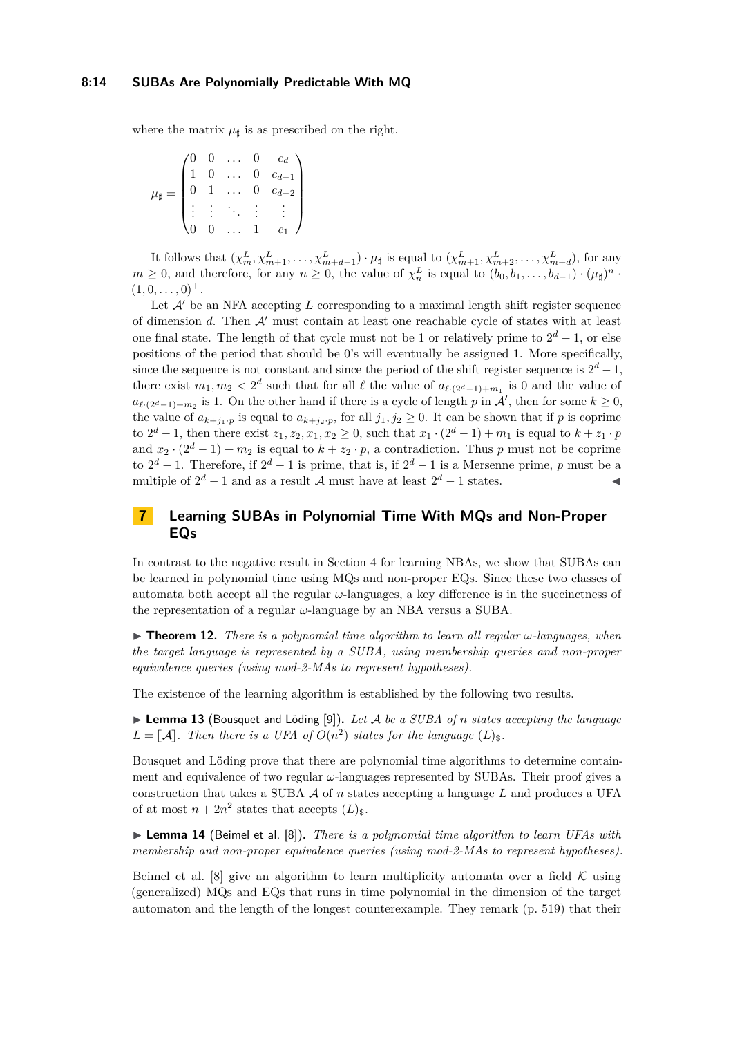### **8:14 SUBAs Are Polynomially Predictable With MQ**

where the matrix  $\mu_{\parallel}$  is as prescribed on the right.

$$
\mu_{\sharp} = \begin{pmatrix} 0 & 0 & \dots & 0 & c_d \\ 1 & 0 & \dots & 0 & c_{d-1} \\ 0 & 1 & \dots & 0 & c_{d-2} \\ \vdots & \vdots & \ddots & \vdots & \vdots \\ 0 & 0 & \dots & 1 & c_1 \end{pmatrix}
$$

It follows that  $(\chi_m^L, \chi_{m+1}^L, \ldots, \chi_{m+d-1}^L) \cdot \mu_{\sharp}$  is equal to  $(\chi_{m+1}^L, \chi_{m+2}^L, \ldots, \chi_{m+d}^L)$ , for any  $m \geq 0$ , and therefore, for any  $n \geq 0$ , the value of  $\chi_n^L$  is equal to  $(b_0, b_1, \ldots, b_{d-1}) \cdot (\mu_{\sharp})^n$ .  $(1, 0, \ldots, 0)^{\top}$ .

Let  $A'$  be an NFA accepting L corresponding to a maximal length shift register sequence of dimension  $d$ . Then  $A'$  must contain at least one reachable cycle of states with at least one final state. The length of that cycle must not be 1 or relatively prime to  $2^d - 1$ , or else positions of the period that should be 0's will eventually be assigned 1. More specifically, since the sequence is not constant and since the period of the shift register sequence is  $2^d - 1$ , there exist  $m_1, m_2 < 2^d$  such that for all  $\ell$  the value of  $a_{\ell \cdot (2^d-1)+m_1}$  is 0 and the value of  $a_{\ell \cdot (2^d-1)+m_2}$  is 1. On the other hand if there is a cycle of length *p* in A', then for some  $k \ge 0$ , the value of  $a_{k+j_1\cdot p}$  is equal to  $a_{k+j_2\cdot p}$ , for all  $j_1, j_2 \geq 0$ . It can be shown that if *p* is coprime to  $2^d - 1$ , then there exist  $z_1, z_2, x_1, x_2 ≥ 0$ , such that  $x_1 \cdot (2^d - 1) + m_1$  is equal to  $k + z_1 \cdot p$ and  $x_2 \cdot (2^d - 1) + m_2$  is equal to  $k + z_2 \cdot p$ , a contradiction. Thus *p* must not be coprime to  $2^d - 1$ . Therefore, if  $2^d - 1$  is prime, that is, if  $2^d - 1$  is a Mersenne prime, *p* must be a multiple of  $2^d - 1$  and as a result A must have at least  $2^d - 1$  states.

# <span id="page-13-1"></span>**7 Learning SUBAs in Polynomial Time With MQs and Non-Proper EQs**

In contrast to the negative result in Section [4](#page-5-0) for learning NBAs, we show that SUBAs can be learned in polynomial time using MQs and non-proper EQs. Since these two classes of automata both accept all the regular *ω*-languages, a key difference is in the succinctness of the representation of a regular *ω*-language by an NBA versus a SUBA.

<span id="page-13-0"></span> $\triangleright$  **Theorem 12.** *There is a polynomial time algorithm to learn all regular*  $\omega$ *-languages, when the target language is represented by a SUBA, using membership queries and non-proper equivalence queries (using mod-2-MAs to represent hypotheses).*

The existence of the learning algorithm is established by the following two results.

▶ **Lemma 13** (Bousquet and Löding [\[9\]](#page-15-7)). Let A be a SUBA of *n* states accepting the language  $L = \llbracket A \rrbracket$ . Then there is a UFA of  $O(n^2)$  states for the language  $(L)_{\$}$ .

Bousquet and Löding prove that there are polynomial time algorithms to determine containment and equivalence of two regular *ω*-languages represented by SUBAs. Their proof gives a construction that takes a SUBA A of *n* states accepting a language *L* and produces a UFA of at most  $n + 2n^2$  states that accepts  $(L)_{\$}$ .

▶ **Lemma 14** (Beimel et al. [\[8\]](#page-15-14)). *There is a polynomial time algorithm to learn UFAs with membership and non-proper equivalence queries (using mod-2-MAs to represent hypotheses).*

Beimel et al. [\[8\]](#page-15-14) give an algorithm to learn multiplicity automata over a field  $\mathcal K$  using (generalized) MQs and EQs that runs in time polynomial in the dimension of the target automaton and the length of the longest counterexample. They remark (p. 519) that their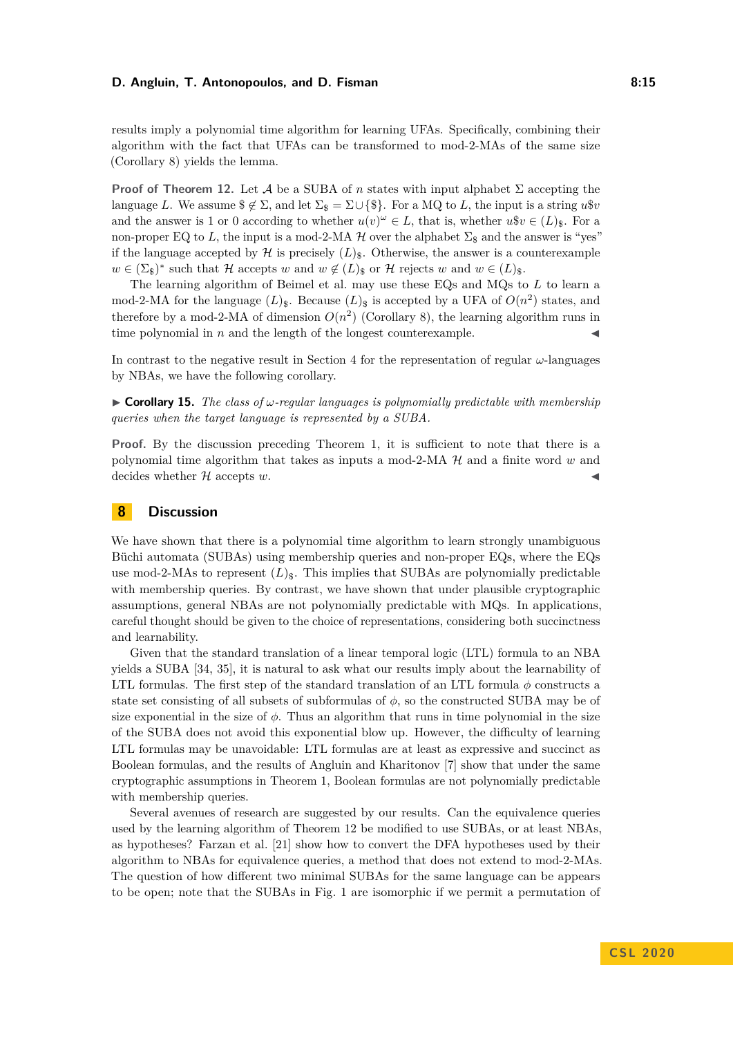### **D. Angluin, T. Antonopoulos, and D. Fisman 8:15 8:15**

results imply a polynomial time algorithm for learning UFAs. Specifically, combining their algorithm with the fact that UFAs can be transformed to mod-2-MAs of the same size (Corollary [8\)](#page-10-2) yields the lemma.

**Proof of Theorem [12.](#page-13-0)** Let A be a SUBA of *n* states with input alphabet  $\Sigma$  accepting the language *L*. We assume  $\hat{\mathcal{F}} \not\subseteq \Sigma$ , and let  $\Sigma_{\hat{\mathcal{F}}} = \Sigma \cup {\{\hat{\mathcal{F}}\}}$ . For a MQ to *L*, the input is a string  $u\hat{v}$ and the answer is 1 or 0 according to whether  $u(v)^\omega \in L$ , that is, whether  $u\$ v \in (L)\_{\\$}. For a non-proper EQ to L, the input is a mod-2-MA  $H$  over the alphabet  $\Sigma_{\$}$  and the answer is "yes" if the language accepted by  $\mathcal{H}$  is precisely  $(L)_{\$}$ . Otherwise, the answer is a counterexample  $w \in (\Sigma_{\$})^*$  such that  $\mathcal H$  accepts  $w$  and  $w \notin (L)_{\$}$  or  $\mathcal H$  rejects  $w$  and  $w \in (L)_{\$}$ .

The learning algorithm of Beimel et al. may use these EQs and MQs to *L* to learn a mod-2-MA for the language  $(L)_{\$}$ . Because  $(L)_{\$}$  is accepted by a UFA of  $O(n^2)$  states, and therefore by a mod-2-MA of dimension  $O(n^2)$  (Corollary [8\)](#page-10-2), the learning algorithm runs in time polynomial in  $n$  and the length of the longest counterexample.

In contrast to the negative result in Section [4](#page-5-0) for the representation of regular *ω*-languages by NBAs, we have the following corollary.

<span id="page-14-0"></span> $\triangleright$  **Corollary 15.** *The class of*  $\omega$ *-regular languages is polynomially predictable with membership queries when the target language is represented by a SUBA.*

**Proof.** By the discussion preceding Theorem [1,](#page-6-0) it is sufficient to note that there is a polynomial time algorithm that takes as inputs a mod-2-MA H and a finite word *w* and decides whether  $H$  accepts  $w$ .

### <span id="page-14-1"></span>**8 Discussion**

We have shown that there is a polynomial time algorithm to learn strongly unambiguous Büchi automata (SUBAs) using membership queries and non-proper EQs, where the EQs use mod-2-MAs to represent  $(L)$ <sub>s</sub>. This implies that SUBAs are polynomially predictable with membership queries. By contrast, we have shown that under plausible cryptographic assumptions, general NBAs are not polynomially predictable with MQs. In applications, careful thought should be given to the choice of representations, considering both succinctness and learnability.

Given that the standard translation of a linear temporal logic (LTL) formula to an NBA yields a SUBA [\[34,](#page-16-12) [35\]](#page-16-13), it is natural to ask what our results imply about the learnability of LTL formulas. The first step of the standard translation of an LTL formula  $\phi$  constructs a state set consisting of all subsets of subformulas of  $\phi$ , so the constructed SUBA may be of size exponential in the size of  $\phi$ . Thus an algorithm that runs in time polynomial in the size of the SUBA does not avoid this exponential blow up. However, the difficulty of learning LTL formulas may be unavoidable: LTL formulas are at least as expressive and succinct as Boolean formulas, and the results of Angluin and Kharitonov [\[7\]](#page-15-11) show that under the same cryptographic assumptions in Theorem [1,](#page-6-0) Boolean formulas are not polynomially predictable with membership queries.

Several avenues of research are suggested by our results. Can the equivalence queries used by the learning algorithm of Theorem [12](#page-13-0) be modified to use SUBAs, or at least NBAs, as hypotheses? Farzan et al. [\[21\]](#page-16-9) show how to convert the DFA hypotheses used by their algorithm to NBAs for equivalence queries, a method that does not extend to mod-2-MAs. The question of how different two minimal SUBAs for the same language can be appears to be open; note that the SUBAs in Fig. [1](#page-3-1) are isomorphic if we permit a permutation of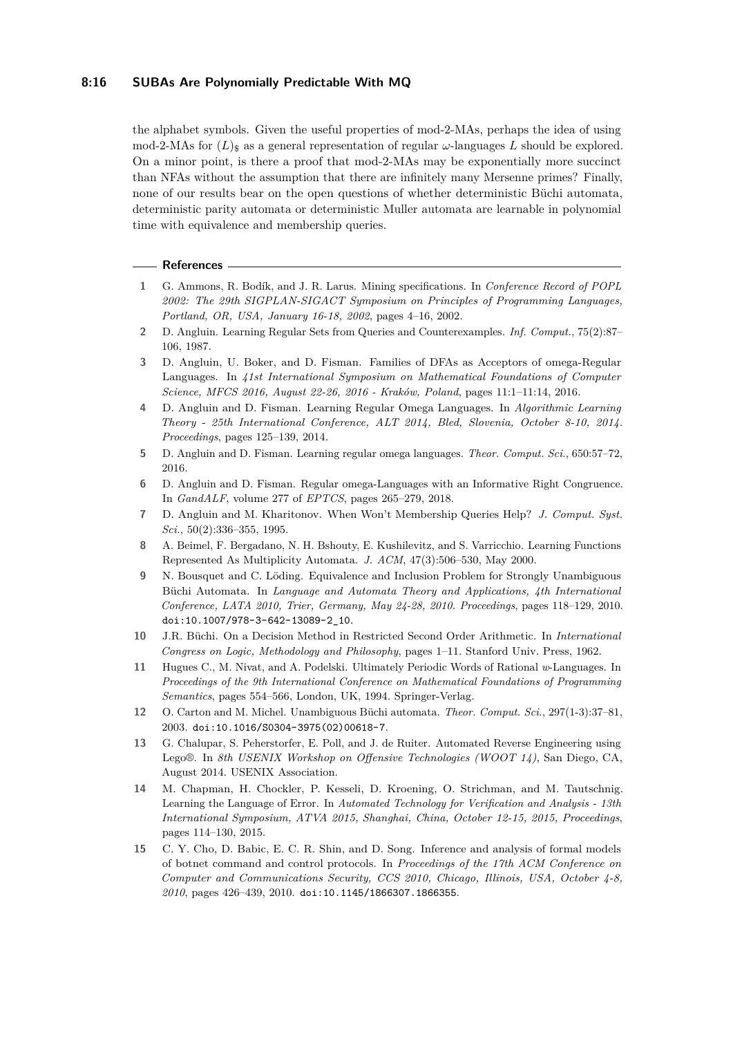### **8:16 SUBAs Are Polynomially Predictable With MQ**

the alphabet symbols. Given the useful properties of mod-2-MAs, perhaps the idea of using mod-2-MAs for  $(L)$ <sub>s</sub> as a general representation of regular  $\omega$ -languages L should be explored. On a minor point, is there a proof that mod-2-MAs may be exponentially more succinct than NFAs without the assumption that there are infinitely many Mersenne primes? Finally, none of our results bear on the open questions of whether deterministic Büchi automata, deterministic parity automata or deterministic Muller automata are learnable in polynomial time with equivalence and membership queries.

#### **References**

- <span id="page-15-1"></span>**1** G. Ammons, R. Bodík, and J. R. Larus. Mining specifications. In *Conference Record of POPL 2002: The 29th SIGPLAN-SIGACT Symposium on Principles of Programming Languages, Portland, OR, USA, January 16-18, 2002*, pages 4–16, 2002.
- <span id="page-15-0"></span>**2** D. Angluin. Learning Regular Sets from Queries and Counterexamples. *Inf. Comput.*, 75(2):87– 106, 1987.
- <span id="page-15-12"></span>**3** D. Angluin, U. Boker, and D. Fisman. Families of DFAs as Acceptors of omega-Regular Languages. In *41st International Symposium on Mathematical Foundations of Computer Science, MFCS 2016, August 22-26, 2016 - Kraków, Poland*, pages 11:1–11:14, 2016.
- <span id="page-15-10"></span>**4** D. Angluin and D. Fisman. Learning Regular Omega Languages. In *Algorithmic Learning Theory - 25th International Conference, ALT 2014, Bled, Slovenia, October 8-10, 2014. Proceedings*, pages 125–139, 2014.
- <span id="page-15-5"></span>**5** D. Angluin and D. Fisman. Learning regular omega languages. *Theor. Comput. Sci.*, 650:57–72, 2016.
- <span id="page-15-13"></span>**6** D. Angluin and D. Fisman. Regular omega-Languages with an Informative Right Congruence. In *GandALF*, volume 277 of *EPTCS*, pages 265–279, 2018.
- <span id="page-15-11"></span>**7** D. Angluin and M. Kharitonov. When Won't Membership Queries Help? *J. Comput. Syst. Sci.*, 50(2):336–355, 1995.
- <span id="page-15-14"></span>**8** A. Beimel, F. Bergadano, N. H. Bshouty, E. Kushilevitz, and S. Varricchio. Learning Functions Represented As Multiplicity Automata. *J. ACM*, 47(3):506–530, May 2000.
- <span id="page-15-7"></span>**9** N. Bousquet and C. Löding. Equivalence and Inclusion Problem for Strongly Unambiguous Büchi Automata. In *Language and Automata Theory and Applications, 4th International Conference, LATA 2010, Trier, Germany, May 24-28, 2010. Proceedings*, pages 118–129, 2010. [doi:10.1007/978-3-642-13089-2\\_10](https://doi.org/10.1007/978-3-642-13089-2_10).
- <span id="page-15-8"></span>**10** J.R. Büchi. On a Decision Method in Restricted Second Order Arithmetic. In *International Congress on Logic, Methodology and Philosophy*, pages 1–11. Stanford Univ. Press, 1962.
- <span id="page-15-9"></span>**11** Hugues C., M. Nivat, and A. Podelski. Ultimately Periodic Words of Rational *w*-Languages. In *Proceedings of the 9th International Conference on Mathematical Foundations of Programming Semantics*, pages 554–566, London, UK, 1994. Springer-Verlag.
- <span id="page-15-6"></span>**12** O. Carton and M. Michel. Unambiguous Büchi automata. *Theor. Comput. Sci.*, 297(1-3):37–81, 2003. [doi:10.1016/S0304-3975\(02\)00618-7](https://doi.org/10.1016/S0304-3975(02)00618-7).
- <span id="page-15-3"></span>**13** G. Chalupar, S. Peherstorfer, E. Poll, and J. de Ruiter. Automated Reverse Engineering using Lego®. In *8th USENIX Workshop on Offensive Technologies (WOOT 14)*, San Diego, CA, August 2014. USENIX Association.
- <span id="page-15-2"></span>**14** M. Chapman, H. Chockler, P. Kesseli, D. Kroening, O. Strichman, and M. Tautschnig. Learning the Language of Error. In *Automated Technology for Verification and Analysis - 13th International Symposium, ATVA 2015, Shanghai, China, October 12-15, 2015, Proceedings*, pages 114–130, 2015.
- <span id="page-15-4"></span>**15** C. Y. Cho, D. Babic, E. C. R. Shin, and D. Song. Inference and analysis of formal models of botnet command and control protocols. In *Proceedings of the 17th ACM Conference on Computer and Communications Security, CCS 2010, Chicago, Illinois, USA, October 4-8, 2010*, pages 426–439, 2010. [doi:10.1145/1866307.1866355](https://doi.org/10.1145/1866307.1866355).